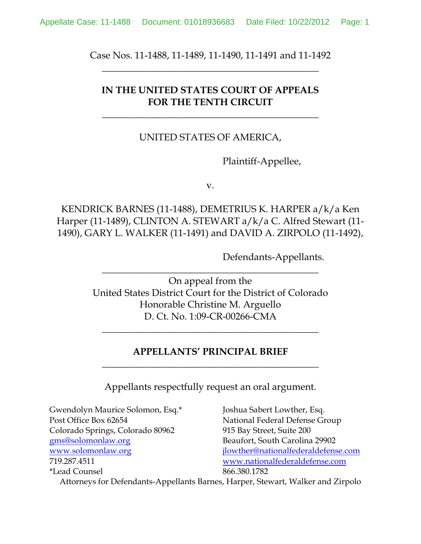Case Nos. 11-1488, 11-1489, 11-1490, 11-1491 and 11-1492 **\_\_\_\_\_\_\_\_\_\_\_\_\_\_\_\_\_\_\_\_\_\_\_\_\_\_\_\_\_\_\_\_\_\_\_\_\_\_\_\_\_\_\_\_\_**

# **IN THE UNITED STATES COURT OF APPEALS FOR THE TENTH CIRCUIT**

**\_\_\_\_\_\_\_\_\_\_\_\_\_\_\_\_\_\_\_\_\_\_\_\_\_\_\_\_\_\_\_\_\_\_\_\_\_\_\_\_\_\_\_\_\_**

# UNITED STATES OF AMERICA,

Plaintiff-Appellee,

v.

KENDRICK BARNES (11-1488), DEMETRIUS K. HARPER a/k/a Ken Harper (11-1489), CLINTON A. STEWART a/k/a C. Alfred Stewart (11- 1490), GARY L. WALKER (11-1491) and DAVID A. ZIRPOLO (11-1492),

Defendants-Appellants.

On appeal from the United States District Court for the District of Colorado Honorable Christine M. Arguello D. Ct. No. 1:09-CR-00266-CMA

 $\overline{\phantom{a}}$  , and the set of the set of the set of the set of the set of the set of the set of the set of the set of the set of the set of the set of the set of the set of the set of the set of the set of the set of the s

# **APPELLANTS' PRINCIPAL BRIEF \_\_\_\_\_\_\_\_\_\_\_\_\_\_\_\_\_\_\_\_\_\_\_\_\_\_\_\_\_\_\_\_\_\_\_\_\_\_\_\_\_\_\_\_\_**

**\_\_\_\_\_\_\_\_\_\_\_\_\_\_\_\_\_\_\_\_\_\_\_\_\_\_\_\_\_\_\_\_\_\_\_\_\_\_\_\_\_\_\_\_\_**

Appellants respectfully request an oral argument.

Gwendolyn Maurice Solomon, Esq.\* Joshua Sabert Lowther, Esq. Post Office Box 62654 National Federal Defense Group Colorado Springs, Colorado 80962 915 Bay Street, Suite 200 [gms@solomonlaw.org](mailto:gms@solomonlaw.org) Beaufort, South Carolina 29902 [www.solomonlaw.org](http://www.solomonlaw.org/) ilowther@nationalfederaldefense.com 719.287.4511 [www.nationalfederaldefense.com](http://www.nationalfederaldefense.com/) \*Lead Counsel 866.380.1782

Attorneys for Defendants-Appellants Barnes, Harper, Stewart, Walker and Zirpolo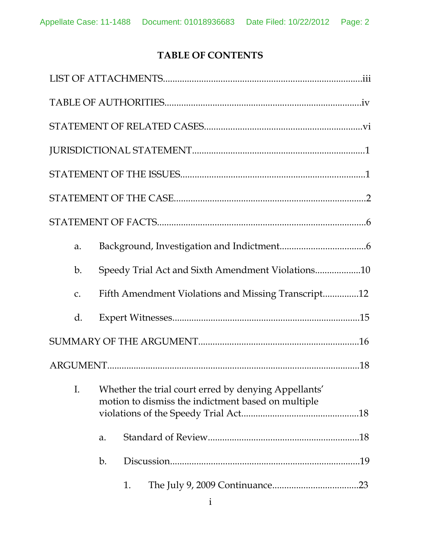# **TABLE OF CONTENTS**

| a.              |                                                                                                            |    |                                                     |  |  |
|-----------------|------------------------------------------------------------------------------------------------------------|----|-----------------------------------------------------|--|--|
| b.              |                                                                                                            |    | Speedy Trial Act and Sixth Amendment Violations10   |  |  |
| $\mathcal{C}$ . |                                                                                                            |    | Fifth Amendment Violations and Missing Transcript12 |  |  |
| d.              |                                                                                                            |    |                                                     |  |  |
|                 |                                                                                                            |    |                                                     |  |  |
|                 |                                                                                                            |    |                                                     |  |  |
| I.              | Whether the trial court erred by denying Appellants'<br>motion to dismiss the indictment based on multiple |    |                                                     |  |  |
|                 | a.                                                                                                         |    |                                                     |  |  |
|                 | b.                                                                                                         |    |                                                     |  |  |
|                 |                                                                                                            | 1. |                                                     |  |  |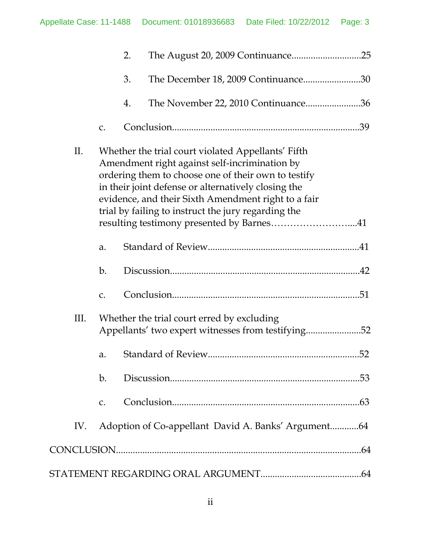|    |     |    | 2. |                                                                                                                                                                                                                                                                                                                                                                              |  |
|----|-----|----|----|------------------------------------------------------------------------------------------------------------------------------------------------------------------------------------------------------------------------------------------------------------------------------------------------------------------------------------------------------------------------------|--|
|    |     |    | 3. | The December 18, 2009 Continuance30                                                                                                                                                                                                                                                                                                                                          |  |
|    |     |    | 4. | The November 22, 2010 Continuance36                                                                                                                                                                                                                                                                                                                                          |  |
|    |     | C. |    |                                                                                                                                                                                                                                                                                                                                                                              |  |
|    | II. |    |    | Whether the trial court violated Appellants' Fifth<br>Amendment right against self-incrimination by<br>ordering them to choose one of their own to testify<br>in their joint defense or alternatively closing the<br>evidence, and their Sixth Amendment right to a fair<br>trial by failing to instruct the jury regarding the<br>resulting testimony presented by Barnes41 |  |
|    |     | a. |    |                                                                                                                                                                                                                                                                                                                                                                              |  |
|    |     | b. |    |                                                                                                                                                                                                                                                                                                                                                                              |  |
|    |     | C. |    |                                                                                                                                                                                                                                                                                                                                                                              |  |
| Ш. |     |    |    | Whether the trial court erred by excluding<br>Appellants' two expert witnesses from testifying52                                                                                                                                                                                                                                                                             |  |
|    |     | a. |    |                                                                                                                                                                                                                                                                                                                                                                              |  |
|    |     | b. |    |                                                                                                                                                                                                                                                                                                                                                                              |  |
|    |     | C. |    |                                                                                                                                                                                                                                                                                                                                                                              |  |
|    | IV. |    |    | Adoption of Co-appellant David A. Banks' Argument64                                                                                                                                                                                                                                                                                                                          |  |
|    |     |    |    |                                                                                                                                                                                                                                                                                                                                                                              |  |
|    |     |    |    |                                                                                                                                                                                                                                                                                                                                                                              |  |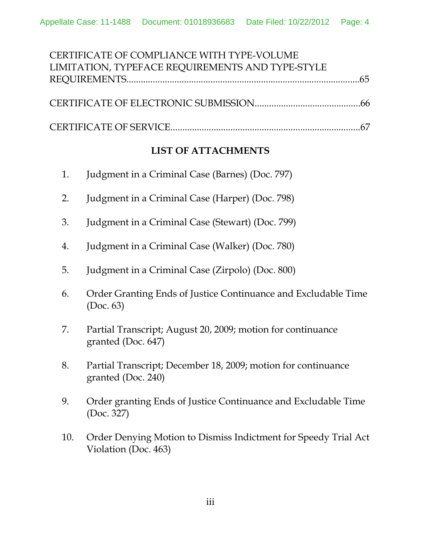| CERTIFICATE OF COMPLIANCE WITH TYPE-VOLUME       |  |
|--------------------------------------------------|--|
| LIMITATION, TYPEFACE REQUIREMENTS AND TYPE-STYLE |  |
|                                                  |  |
|                                                  |  |
|                                                  |  |
|                                                  |  |

# **LIST OF ATTACHMENTS**

- 1. Judgment in a Criminal Case (Barnes) (Doc. 797)
- 2. Judgment in a Criminal Case (Harper) (Doc. 798)
- 3. Judgment in a Criminal Case (Stewart) (Doc. 799)
- 4. Judgment in a Criminal Case (Walker) (Doc. 780)
- 5. Judgment in a Criminal Case (Zirpolo) (Doc. 800)
- 6. Order Granting Ends of Justice Continuance and Excludable Time (Doc. 63)
- 7. Partial Transcript; August 20, 2009; motion for continuance granted (Doc. 647)
- 8. Partial Transcript; December 18, 2009; motion for continuance granted (Doc. 240)
- 9. Order granting Ends of Justice Continuance and Excludable Time (Doc. 327)
- 10. Order Denying Motion to Dismiss Indictment for Speedy Trial Act Violation (Doc. 463)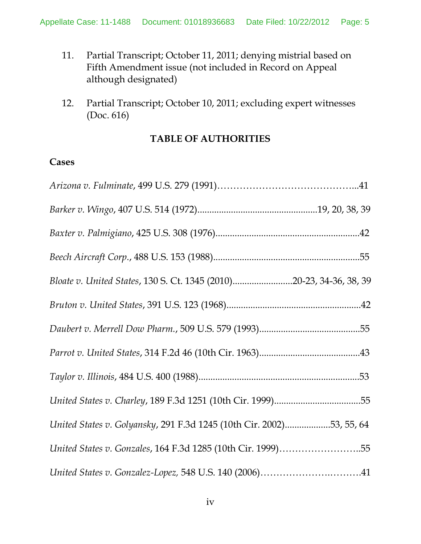- 11. Partial Transcript; October 11, 2011; denying mistrial based on Fifth Amendment issue (not included in Record on Appeal although designated)
- 12. Partial Transcript; October 10, 2011; excluding expert witnesses (Doc. 616)

# **TABLE OF AUTHORITIES**

### **Cases**

| Bloate v. United States, 130 S. Ct. 1345 (2010)20-23, 34-36, 38, 39  |
|----------------------------------------------------------------------|
|                                                                      |
|                                                                      |
|                                                                      |
|                                                                      |
|                                                                      |
| United States v. Golyansky, 291 F.3d 1245 (10th Cir. 2002)53, 55, 64 |
| United States v. Gonzales, 164 F.3d 1285 (10th Cir. 1999)55          |
|                                                                      |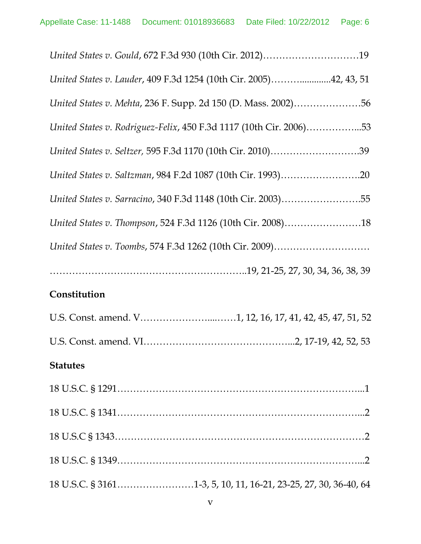| United States v. Gould, 672 F.3d 930 (10th Cir. 2012)19            |
|--------------------------------------------------------------------|
| United States v. Lauder, 409 F.3d 1254 (10th Cir. 2005)42, 43, 51  |
| United States v. Mehta, 236 F. Supp. 2d 150 (D. Mass. 2002)56      |
| United States v. Rodriguez-Felix, 450 F.3d 1117 (10th Cir. 2006)53 |
| United States v. Seltzer, 595 F.3d 1170 (10th Cir. 2010)39         |
| United States v. Saltzman, 984 F.2d 1087 (10th Cir. 1993)20        |
| United States v. Sarracino, 340 F.3d 1148 (10th Cir. 2003)55       |
| United States v. Thompson, 524 F.3d 1126 (10th Cir. 2008)18        |
|                                                                    |
|                                                                    |
| Constitution                                                       |
| U.S. Const. amend. V1, 12, 16, 17, 41, 42, 45, 47, 51, 52          |
|                                                                    |
| <b>Statutes</b>                                                    |
|                                                                    |
|                                                                    |
|                                                                    |
|                                                                    |
|                                                                    |

18 U.S.C. § 3161……………………1-3, 5, 10, 11, 16-21, 23-25, 27, 30, 36-40, 64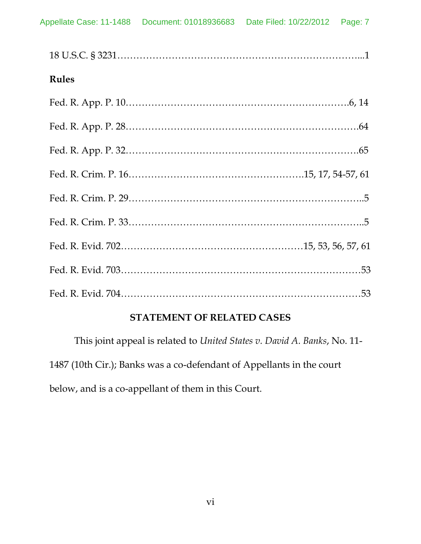| <b>Rules</b> |  |
|--------------|--|
|              |  |
|              |  |
|              |  |
|              |  |
|              |  |
|              |  |
|              |  |
|              |  |
|              |  |

# **STATEMENT OF RELATED CASES**

This joint appeal is related to *United States v. David A. Banks*, No. 11- 1487 (10th Cir.); Banks was a co-defendant of Appellants in the court below, and is a co-appellant of them in this Court.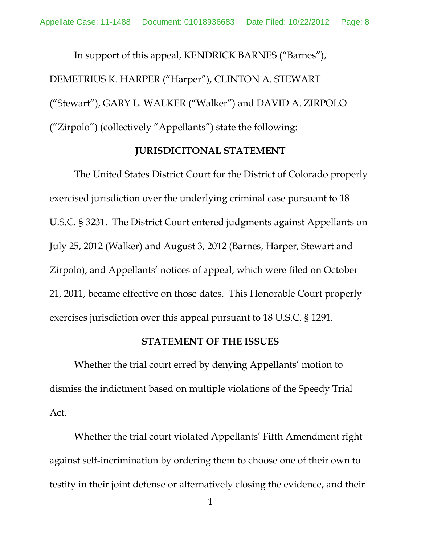In support of this appeal, KENDRICK BARNES ("Barnes"), DEMETRIUS K. HARPER ("Harper"), CLINTON A. STEWART ("Stewart"), GARY L. WALKER ("Walker") and DAVID A. ZIRPOLO ("Zirpolo") (collectively "Appellants") state the following:

### **JURISDICITONAL STATEMENT**

The United States District Court for the District of Colorado properly exercised jurisdiction over the underlying criminal case pursuant to 18 U.S.C. § 3231. The District Court entered judgments against Appellants on July 25, 2012 (Walker) and August 3, 2012 (Barnes, Harper, Stewart and Zirpolo), and Appellants' notices of appeal, which were filed on October 21, 2011, became effective on those dates. This Honorable Court properly exercises jurisdiction over this appeal pursuant to 18 U.S.C. § 1291.

#### **STATEMENT OF THE ISSUES**

Whether the trial court erred by denying Appellants' motion to dismiss the indictment based on multiple violations of the Speedy Trial Act.

Whether the trial court violated Appellants' Fifth Amendment right against self-incrimination by ordering them to choose one of their own to testify in their joint defense or alternatively closing the evidence, and their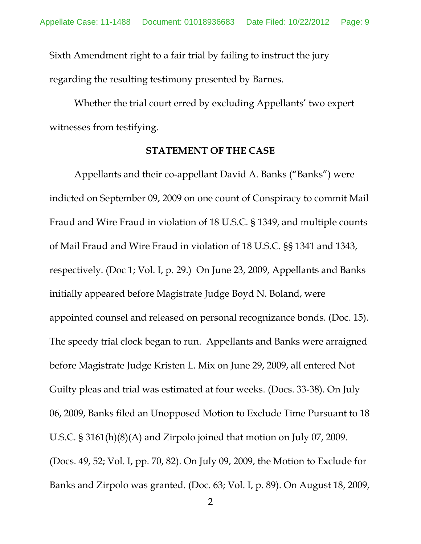Sixth Amendment right to a fair trial by failing to instruct the jury regarding the resulting testimony presented by Barnes.

Whether the trial court erred by excluding Appellants' two expert witnesses from testifying.

#### **STATEMENT OF THE CASE**

Appellants and their co-appellant David A. Banks ("Banks") were indicted on September 09, 2009 on one count of Conspiracy to commit Mail Fraud and Wire Fraud in violation of 18 U.S.C. § 1349, and multiple counts of Mail Fraud and Wire Fraud in violation of 18 U.S.C. §§ 1341 and 1343, respectively. (Doc 1; Vol. I, p. 29.) On June 23, 2009, Appellants and Banks initially appeared before Magistrate Judge Boyd N. Boland, were appointed counsel and released on personal recognizance bonds. (Doc. 15). The speedy trial clock began to run. Appellants and Banks were arraigned before Magistrate Judge Kristen L. Mix on June 29, 2009, all entered Not Guilty pleas and trial was estimated at four weeks. (Docs. 33-38). On July 06, 2009, Banks filed an Unopposed Motion to Exclude Time Pursuant to 18 U.S.C. § 3161(h)(8)(A) and Zirpolo joined that motion on July 07, 2009. (Docs. 49, 52; Vol. I, pp. 70, 82). On July 09, 2009, the Motion to Exclude for Banks and Zirpolo was granted. (Doc. 63; Vol. I, p. 89). On August 18, 2009,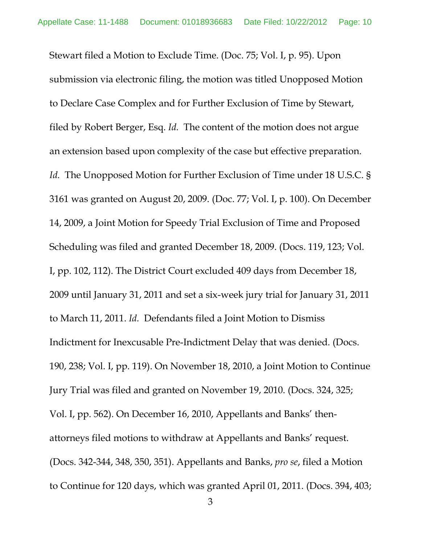Stewart filed a Motion to Exclude Time. (Doc. 75; Vol. I, p. 95). Upon submission via electronic filing, the motion was titled Unopposed Motion to Declare Case Complex and for Further Exclusion of Time by Stewart, filed by Robert Berger, Esq. *Id.* The content of the motion does not argue an extension based upon complexity of the case but effective preparation. *Id.* The Unopposed Motion for Further Exclusion of Time under 18 U.S.C. § 3161 was granted on August 20, 2009. (Doc. 77; Vol. I, p. 100). On December 14, 2009, a Joint Motion for Speedy Trial Exclusion of Time and Proposed Scheduling was filed and granted December 18, 2009. (Docs. 119, 123; Vol. I, pp. 102, 112). The District Court excluded 409 days from December 18, 2009 until January 31, 2011 and set a six-week jury trial for January 31, 2011 to March 11, 2011. *Id.* Defendants filed a Joint Motion to Dismiss Indictment for Inexcusable Pre-Indictment Delay that was denied. (Docs. 190, 238; Vol. I, pp. 119). On November 18, 2010, a Joint Motion to Continue Jury Trial was filed and granted on November 19, 2010. (Docs. 324, 325; Vol. I, pp. 562). On December 16, 2010, Appellants and Banks' thenattorneys filed motions to withdraw at Appellants and Banks' request. (Docs. 342-344, 348, 350, 351). Appellants and Banks, *pro se*, filed a Motion to Continue for 120 days, which was granted April 01, 2011. (Docs. 394, 403;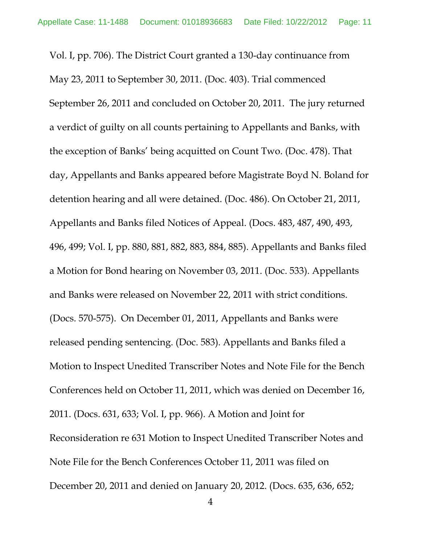Vol. I, pp. 706). The District Court granted a 130-day continuance from May 23, 2011 to September 30, 2011. (Doc. 403). Trial commenced September 26, 2011 and concluded on October 20, 2011. The jury returned a verdict of guilty on all counts pertaining to Appellants and Banks, with the exception of Banks' being acquitted on Count Two. (Doc. 478). That day, Appellants and Banks appeared before Magistrate Boyd N. Boland for detention hearing and all were detained. (Doc. 486). On October 21, 2011, Appellants and Banks filed Notices of Appeal. (Docs. 483, 487, 490, 493, 496, 499; Vol. I, pp. 880, 881, 882, 883, 884, 885). Appellants and Banks filed a Motion for Bond hearing on November 03, 2011. (Doc. 533). Appellants and Banks were released on November 22, 2011 with strict conditions. (Docs. 570-575). On December 01, 2011, Appellants and Banks were released pending sentencing. (Doc. 583). Appellants and Banks filed a Motion to Inspect Unedited Transcriber Notes and Note File for the Bench Conferences held on October 11, 2011, which was denied on December 16, 2011. (Docs. 631, 633; Vol. I, pp. 966). A Motion and Joint for Reconsideration re 631 Motion to Inspect Unedited Transcriber Notes and Note File for the Bench Conferences October 11, 2011 was filed on December 20, 2011 and denied on January 20, 2012. (Docs. 635, 636, 652;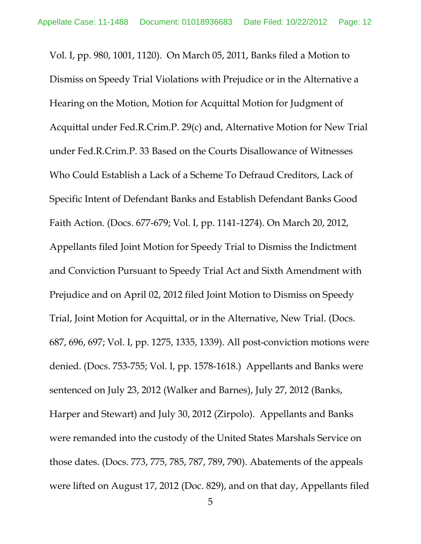Vol. I, pp. 980, 1001, 1120). On March 05, 2011, Banks filed a Motion to Dismiss on Speedy Trial Violations with Prejudice or in the Alternative a Hearing on the Motion, Motion for Acquittal Motion for Judgment of Acquittal under Fed.R.Crim.P. 29(c) and, Alternative Motion for New Trial under Fed.R.Crim.P. 33 Based on the Courts Disallowance of Witnesses Who Could Establish a Lack of a Scheme To Defraud Creditors, Lack of Specific Intent of Defendant Banks and Establish Defendant Banks Good Faith Action. (Docs. 677-679; Vol. I, pp. 1141-1274). On March 20, 2012, Appellants filed Joint Motion for Speedy Trial to Dismiss the Indictment and Conviction Pursuant to Speedy Trial Act and Sixth Amendment with Prejudice and on April 02, 2012 filed Joint Motion to Dismiss on Speedy Trial, Joint Motion for Acquittal, or in the Alternative, New Trial. (Docs. 687, 696, 697; Vol. I, pp. 1275, 1335, 1339). All post-conviction motions were denied. (Docs. 753-755; Vol. I, pp. 1578-1618.) Appellants and Banks were sentenced on July 23, 2012 (Walker and Barnes), July 27, 2012 (Banks, Harper and Stewart) and July 30, 2012 (Zirpolo). Appellants and Banks were remanded into the custody of the United States Marshals Service on those dates. (Docs. 773, 775, 785, 787, 789, 790). Abatements of the appeals were lifted on August 17, 2012 (Doc. 829), and on that day, Appellants filed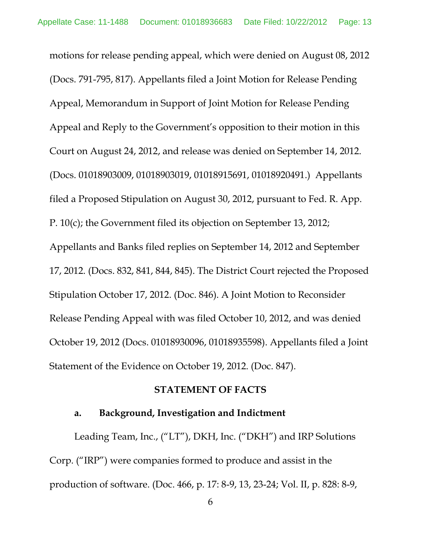motions for release pending appeal, which were denied on August 08, 2012 (Docs. 791-795, 817). Appellants filed a Joint Motion for Release Pending Appeal, Memorandum in Support of Joint Motion for Release Pending Appeal and Reply to the Government's opposition to their motion in this Court on August 24, 2012, and release was denied on September 14, 2012. (Docs. 01018903009, 01018903019, 01018915691, 01018920491.) Appellants filed a Proposed Stipulation on August 30, 2012, pursuant to Fed. R. App. P. 10(c); the Government filed its objection on September 13, 2012; Appellants and Banks filed replies on September 14, 2012 and September 17, 2012. (Docs. 832, 841, 844, 845). The District Court rejected the Proposed Stipulation October 17, 2012. (Doc. 846). A Joint Motion to Reconsider Release Pending Appeal with was filed October 10, 2012, and was denied October 19, 2012 (Docs. 01018930096, 01018935598). Appellants filed a Joint Statement of the Evidence on October 19, 2012. (Doc. 847).

#### **STATEMENT OF FACTS**

# **a. Background, Investigation and Indictment**

Leading Team, Inc., ("LT"), DKH, Inc. ("DKH") and IRP Solutions Corp. ("IRP") were companies formed to produce and assist in the production of software. (Doc. 466, p. 17: 8-9, 13, 23-24; Vol. II, p. 828: 8-9,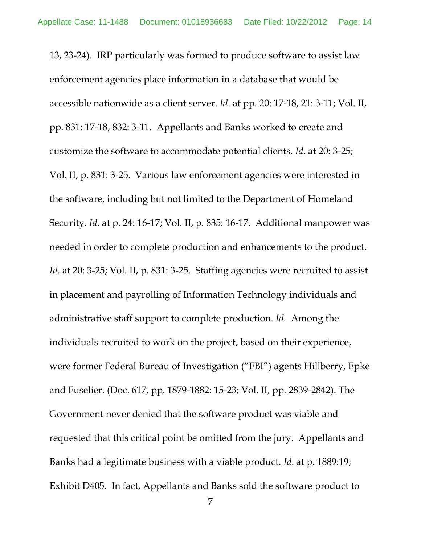13, 23-24). IRP particularly was formed to produce software to assist law enforcement agencies place information in a database that would be accessible nationwide as a client server. *Id*. at pp. 20: 17-18, 21: 3-11; Vol. II, pp. 831: 17-18, 832: 3-11. Appellants and Banks worked to create and customize the software to accommodate potential clients. *Id*. at 20: 3-25; Vol. II, p. 831: 3-25. Various law enforcement agencies were interested in the software, including but not limited to the Department of Homeland Security. *Id*. at p. 24: 16-17; Vol. II, p. 835: 16-17. Additional manpower was needed in order to complete production and enhancements to the product. *Id.* at 20: 3-25; Vol. II, p. 831: 3-25. Staffing agencies were recruited to assist in placement and payrolling of Information Technology individuals and administrative staff support to complete production. *Id.* Among the individuals recruited to work on the project, based on their experience, were former Federal Bureau of Investigation ("FBI") agents Hillberry, Epke and Fuselier. (Doc. 617, pp. 1879-1882: 15-23; Vol. II, pp. 2839-2842). The Government never denied that the software product was viable and requested that this critical point be omitted from the jury. Appellants and Banks had a legitimate business with a viable product. *Id*. at p. 1889:19; Exhibit D405. In fact, Appellants and Banks sold the software product to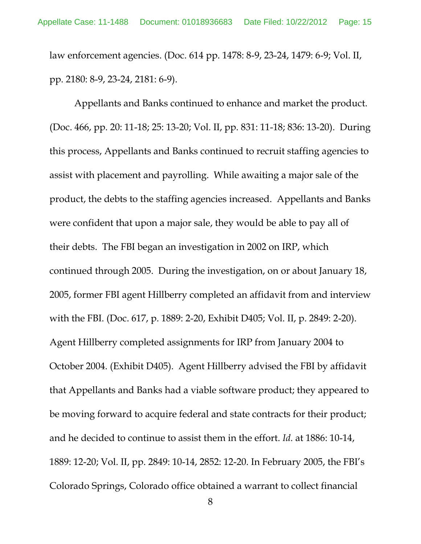law enforcement agencies. (Doc. 614 pp. 1478: 8-9, 23-24, 1479: 6-9; Vol. II, pp. 2180: 8-9, 23-24, 2181: 6-9).

Appellants and Banks continued to enhance and market the product. (Doc. 466, pp. 20: 11-18; 25: 13-20; Vol. II, pp. 831: 11-18; 836: 13-20). During this process, Appellants and Banks continued to recruit staffing agencies to assist with placement and payrolling. While awaiting a major sale of the product, the debts to the staffing agencies increased. Appellants and Banks were confident that upon a major sale, they would be able to pay all of their debts. The FBI began an investigation in 2002 on IRP, which continued through 2005. During the investigation, on or about January 18, 2005, former FBI agent Hillberry completed an affidavit from and interview with the FBI. (Doc. 617, p. 1889: 2-20, Exhibit D405; Vol. II, p. 2849: 2-20). Agent Hillberry completed assignments for IRP from January 2004 to October 2004. (Exhibit D405). Agent Hillberry advised the FBI by affidavit that Appellants and Banks had a viable software product; they appeared to be moving forward to acquire federal and state contracts for their product; and he decided to continue to assist them in the effort. *Id.* at 1886: 10-14, 1889: 12-20; Vol. II, pp. 2849: 10-14, 2852: 12-20. In February 2005, the FBI's Colorado Springs, Colorado office obtained a warrant to collect financial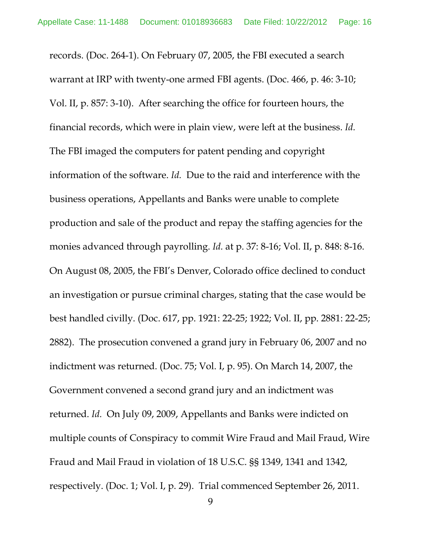records. (Doc. 264-1). On February 07, 2005, the FBI executed a search warrant at IRP with twenty-one armed FBI agents. (Doc. 466, p. 46: 3-10; Vol. II, p. 857: 3-10). After searching the office for fourteen hours, the financial records, which were in plain view, were left at the business. *Id.* The FBI imaged the computers for patent pending and copyright information of the software. *Id.* Due to the raid and interference with the business operations, Appellants and Banks were unable to complete production and sale of the product and repay the staffing agencies for the monies advanced through payrolling. *Id.* at p. 37: 8-16; Vol. II, p. 848: 8-16. On August 08, 2005, the FBI's Denver, Colorado office declined to conduct an investigation or pursue criminal charges, stating that the case would be best handled civilly. (Doc. 617, pp. 1921: 22-25; 1922; Vol. II, pp. 2881: 22-25; 2882). The prosecution convened a grand jury in February 06, 2007 and no indictment was returned. (Doc. 75; Vol. I, p. 95). On March 14, 2007, the Government convened a second grand jury and an indictment was returned. *Id.* On July 09, 2009, Appellants and Banks were indicted on multiple counts of Conspiracy to commit Wire Fraud and Mail Fraud, Wire Fraud and Mail Fraud in violation of 18 U.S.C. §§ 1349, 1341 and 1342, respectively. (Doc. 1; Vol. I, p. 29). Trial commenced September 26, 2011.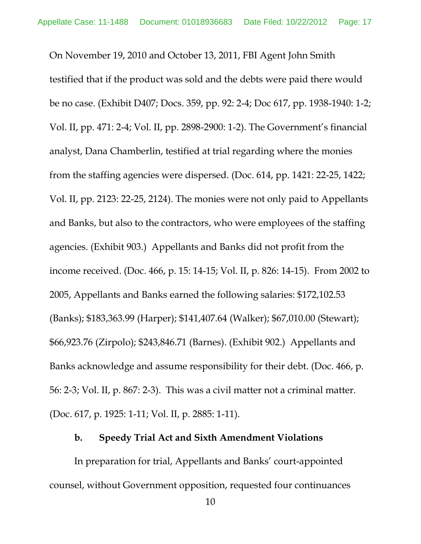On November 19, 2010 and October 13, 2011, FBI Agent John Smith testified that if the product was sold and the debts were paid there would be no case. (Exhibit D407; Docs. 359, pp. 92: 2-4; Doc 617, pp. 1938-1940: 1-2; Vol. II, pp. 471: 2-4; Vol. II, pp. 2898-2900: 1-2). The Government's financial analyst, Dana Chamberlin, testified at trial regarding where the monies from the staffing agencies were dispersed. (Doc. 614, pp. 1421: 22-25, 1422; Vol. II, pp. 2123: 22-25, 2124). The monies were not only paid to Appellants and Banks, but also to the contractors, who were employees of the staffing agencies. (Exhibit 903.) Appellants and Banks did not profit from the income received. (Doc. 466, p. 15: 14-15; Vol. II, p. 826: 14-15). From 2002 to 2005, Appellants and Banks earned the following salaries: \$172,102.53 (Banks); \$183,363.99 (Harper); \$141,407.64 (Walker); \$67,010.00 (Stewart); \$66,923.76 (Zirpolo); \$243,846.71 (Barnes). (Exhibit 902.) Appellants and Banks acknowledge and assume responsibility for their debt. (Doc. 466, p. 56: 2-3; Vol. II, p. 867: 2-3). This was a civil matter not a criminal matter. (Doc. 617, p. 1925: 1-11; Vol. II, p. 2885: 1-11).

### **b. Speedy Trial Act and Sixth Amendment Violations**

In preparation for trial, Appellants and Banks' court-appointed counsel, without Government opposition, requested four continuances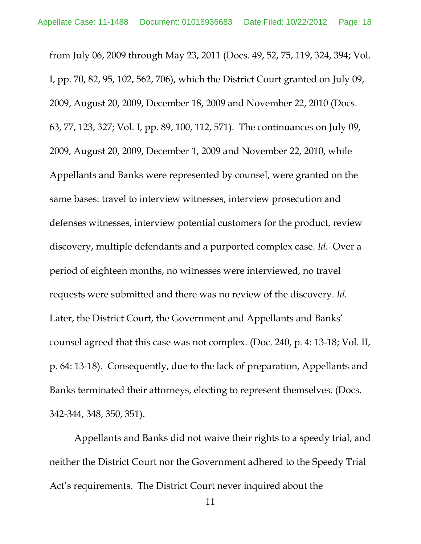from July 06, 2009 through May 23, 2011 (Docs. 49, 52, 75, 119, 324, 394; Vol. I, pp. 70, 82, 95, 102, 562, 706), which the District Court granted on July 09, 2009, August 20, 2009, December 18, 2009 and November 22, 2010 (Docs. 63, 77, 123, 327; Vol. I, pp. 89, 100, 112, 571). The continuances on July 09, 2009, August 20, 2009, December 1, 2009 and November 22, 2010, while Appellants and Banks were represented by counsel, were granted on the same bases: travel to interview witnesses, interview prosecution and defenses witnesses, interview potential customers for the product, review discovery, multiple defendants and a purported complex case. *Id.* Over a period of eighteen months, no witnesses were interviewed, no travel requests were submitted and there was no review of the discovery. *Id.* Later, the District Court, the Government and Appellants and Banks' counsel agreed that this case was not complex. (Doc. 240, p. 4: 13-18; Vol. II, p. 64: 13-18). Consequently, due to the lack of preparation, Appellants and Banks terminated their attorneys, electing to represent themselves. (Docs. 342-344, 348, 350, 351).

Appellants and Banks did not waive their rights to a speedy trial, and neither the District Court nor the Government adhered to the Speedy Trial Act's requirements. The District Court never inquired about the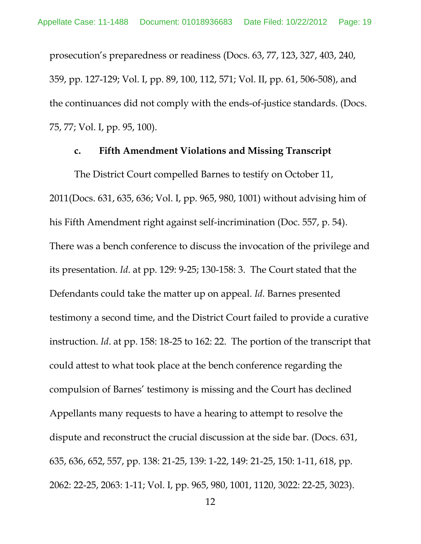prosecution's preparedness or readiness (Docs. 63, 77, 123, 327, 403, 240, 359, pp. 127-129; Vol. I, pp. 89, 100, 112, 571; Vol. II, pp. 61, 506-508), and the continuances did not comply with the ends-of-justice standards. (Docs. 75, 77; Vol. I, pp. 95, 100).

#### **c. Fifth Amendment Violations and Missing Transcript**

The District Court compelled Barnes to testify on October 11, 2011(Docs. 631, 635, 636; Vol. I, pp. 965, 980, 1001) without advising him of his Fifth Amendment right against self-incrimination (Doc. 557, p. 54). There was a bench conference to discuss the invocation of the privilege and its presentation. *Id*. at pp. 129: 9-25; 130-158: 3. The Court stated that the Defendants could take the matter up on appeal. *Id.* Barnes presented testimony a second time, and the District Court failed to provide a curative instruction. *Id*. at pp. 158: 18-25 to 162: 22. The portion of the transcript that could attest to what took place at the bench conference regarding the compulsion of Barnes' testimony is missing and the Court has declined Appellants many requests to have a hearing to attempt to resolve the dispute and reconstruct the crucial discussion at the side bar. (Docs. 631, 635, 636, 652, 557, pp. 138: 21-25, 139: 1-22, 149: 21-25, 150: 1-11, 618, pp. 2062: 22-25, 2063: 1-11; Vol. I, pp. 965, 980, 1001, 1120, 3022: 22-25, 3023).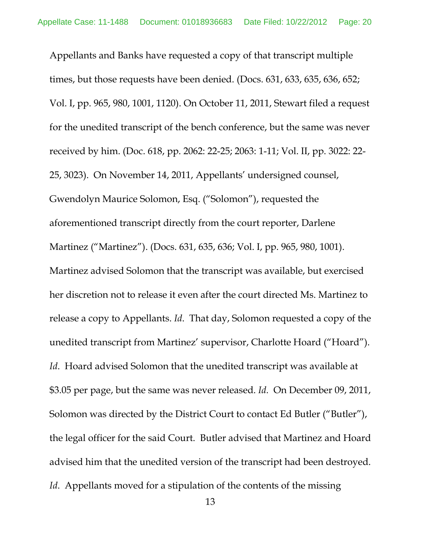Appellants and Banks have requested a copy of that transcript multiple times, but those requests have been denied. (Docs. 631, 633, 635, 636, 652; Vol. I, pp. 965, 980, 1001, 1120). On October 11, 2011, Stewart filed a request for the unedited transcript of the bench conference, but the same was never received by him. (Doc. 618, pp. 2062: 22-25; 2063: 1-11; Vol. II, pp. 3022: 22- 25, 3023). On November 14, 2011, Appellants' undersigned counsel, Gwendolyn Maurice Solomon, Esq. ("Solomon"), requested the aforementioned transcript directly from the court reporter, Darlene Martinez ("Martinez"). (Docs. 631, 635, 636; Vol. I, pp. 965, 980, 1001). Martinez advised Solomon that the transcript was available, but exercised her discretion not to release it even after the court directed Ms. Martinez to release a copy to Appellants. *Id*. That day, Solomon requested a copy of the unedited transcript from Martinez' supervisor, Charlotte Hoard ("Hoard"). *Id*. Hoard advised Solomon that the unedited transcript was available at \$3.05 per page, but the same was never released. *Id.* On December 09, 2011, Solomon was directed by the District Court to contact Ed Butler ("Butler"), the legal officer for the said Court. Butler advised that Martinez and Hoard advised him that the unedited version of the transcript had been destroyed. *Id.* Appellants moved for a stipulation of the contents of the missing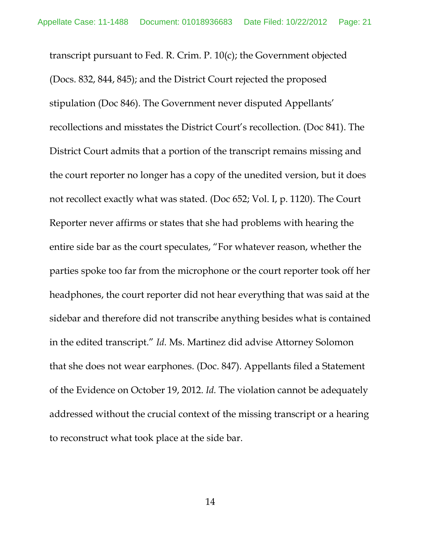transcript pursuant to Fed. R. Crim. P. 10(c); the Government objected (Docs. 832, 844, 845); and the District Court rejected the proposed stipulation (Doc 846). The Government never disputed Appellants' recollections and misstates the District Court's recollection. (Doc 841). The District Court admits that a portion of the transcript remains missing and the court reporter no longer has a copy of the unedited version, but it does not recollect exactly what was stated. (Doc 652; Vol. I, p. 1120). The Court Reporter never affirms or states that she had problems with hearing the entire side bar as the court speculates, "For whatever reason, whether the parties spoke too far from the microphone or the court reporter took off her headphones, the court reporter did not hear everything that was said at the sidebar and therefore did not transcribe anything besides what is contained in the edited transcript." *Id.* Ms. Martinez did advise Attorney Solomon that she does not wear earphones. (Doc. 847). Appellants filed a Statement of the Evidence on October 19, 2012. *Id.* The violation cannot be adequately addressed without the crucial context of the missing transcript or a hearing to reconstruct what took place at the side bar.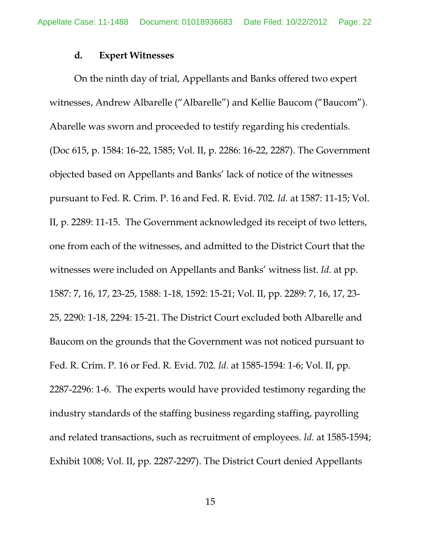#### **d. Expert Witnesses**

On the ninth day of trial, Appellants and Banks offered two expert witnesses, Andrew Albarelle ("Albarelle") and Kellie Baucom ("Baucom"). Abarelle was sworn and proceeded to testify regarding his credentials. (Doc 615, p. 1584: 16-22, 1585; Vol. II, p. 2286: 16-22, 2287). The Government objected based on Appellants and Banks' lack of notice of the witnesses pursuant to Fed. R. Crim. P. 16 and Fed. R. Evid. 702. *Id.* at 1587: 11-15; Vol. II, p. 2289: 11-15. The Government acknowledged its receipt of two letters, one from each of the witnesses, and admitted to the District Court that the witnesses were included on Appellants and Banks' witness list. *Id.* at pp. 1587: 7, 16, 17, 23-25, 1588: 1-18, 1592: 15-21; Vol. II, pp. 2289: 7, 16, 17, 23- 25, 2290: 1-18, 2294: 15-21. The District Court excluded both Albarelle and Baucom on the grounds that the Government was not noticed pursuant to Fed. R. Crim. P. 16 or Fed. R. Evid. 702. *Id.* at 1585-1594: 1-6; Vol. II, pp. 2287-2296: 1-6. The experts would have provided testimony regarding the industry standards of the staffing business regarding staffing, payrolling and related transactions, such as recruitment of employees. *Id.* at 1585-1594; Exhibit 1008; Vol. II, pp. 2287-2297). The District Court denied Appellants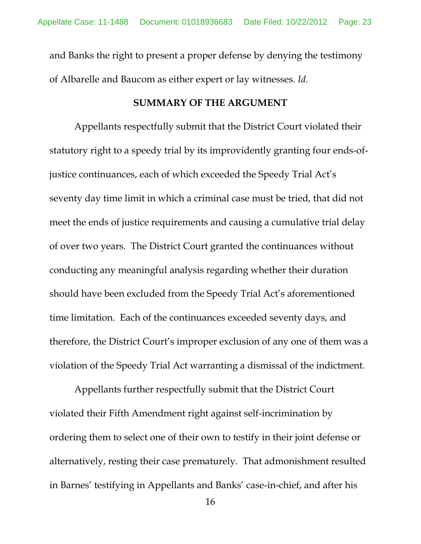and Banks the right to present a proper defense by denying the testimony of Albarelle and Baucom as either expert or lay witnesses. *Id.*

#### **SUMMARY OF THE ARGUMENT**

Appellants respectfully submit that the District Court violated their statutory right to a speedy trial by its improvidently granting four ends-ofjustice continuances, each of which exceeded the Speedy Trial Act's seventy day time limit in which a criminal case must be tried, that did not meet the ends of justice requirements and causing a cumulative trial delay of over two years. The District Court granted the continuances without conducting any meaningful analysis regarding whether their duration should have been excluded from the Speedy Trial Act's aforementioned time limitation. Each of the continuances exceeded seventy days, and therefore, the District Court's improper exclusion of any one of them was a violation of the Speedy Trial Act warranting a dismissal of the indictment.

Appellants further respectfully submit that the District Court violated their Fifth Amendment right against self-incrimination by ordering them to select one of their own to testify in their joint defense or alternatively, resting their case prematurely. That admonishment resulted in Barnes' testifying in Appellants and Banks' case-in-chief, and after his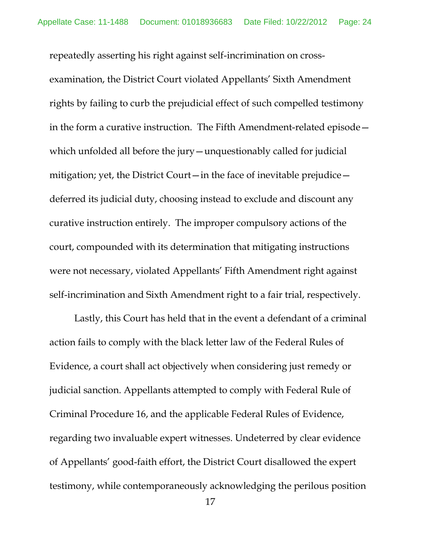repeatedly asserting his right against self-incrimination on crossexamination, the District Court violated Appellants' Sixth Amendment rights by failing to curb the prejudicial effect of such compelled testimony in the form a curative instruction. The Fifth Amendment-related episode which unfolded all before the jury—unquestionably called for judicial mitigation; yet, the District Court—in the face of inevitable prejudice deferred its judicial duty, choosing instead to exclude and discount any curative instruction entirely. The improper compulsory actions of the court, compounded with its determination that mitigating instructions were not necessary, violated Appellants' Fifth Amendment right against self-incrimination and Sixth Amendment right to a fair trial, respectively.

Lastly, this Court has held that in the event a defendant of a criminal action fails to comply with the black letter law of the Federal Rules of Evidence, a court shall act objectively when considering just remedy or judicial sanction. Appellants attempted to comply with Federal Rule of Criminal Procedure 16, and the applicable Federal Rules of Evidence, regarding two invaluable expert witnesses. Undeterred by clear evidence of Appellants' good-faith effort, the District Court disallowed the expert testimony, while contemporaneously acknowledging the perilous position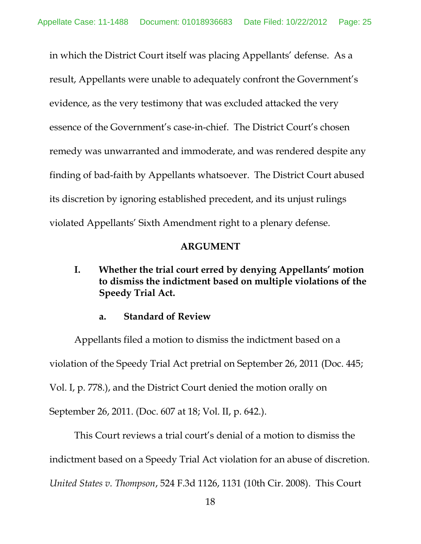in which the District Court itself was placing Appellants' defense. As a result, Appellants were unable to adequately confront the Government's evidence, as the very testimony that was excluded attacked the very essence of the Government's case-in-chief. The District Court's chosen remedy was unwarranted and immoderate, and was rendered despite any finding of bad-faith by Appellants whatsoever. The District Court abused its discretion by ignoring established precedent, and its unjust rulings violated Appellants' Sixth Amendment right to a plenary defense.

# **ARGUMENT**

**I. Whether the trial court erred by denying Appellants' motion to dismiss the indictment based on multiple violations of the Speedy Trial Act.**

# **a. Standard of Review**

Appellants filed a motion to dismiss the indictment based on a violation of the Speedy Trial Act pretrial on September 26, 2011 (Doc. 445; Vol. I, p. 778.), and the District Court denied the motion orally on September 26, 2011. (Doc. 607 at 18; Vol. II, p. 642.).

This Court reviews a trial court's denial of a motion to dismiss the indictment based on a Speedy Trial Act violation for an abuse of discretion. *United States v. Thompson*, 524 F.3d 1126, 1131 (10th Cir. 2008). This Court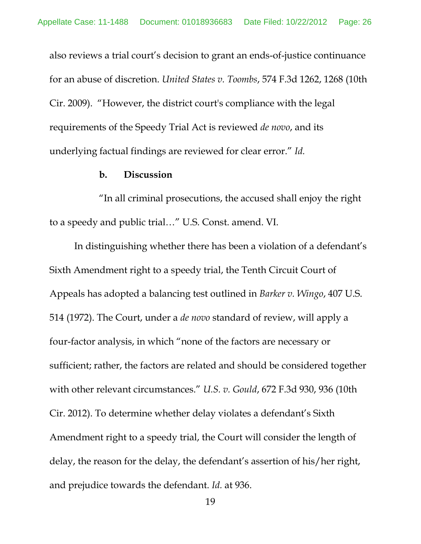also reviews a trial court's decision to grant an ends-of-justice continuance for an abuse of discretion. *United States v. Toombs*, 574 F.3d 1262, 1268 (10th Cir. 2009). "However, the district court's compliance with the legal requirements of the Speedy Trial Act is reviewed *de novo*, and its underlying factual findings are reviewed for clear error." *Id.*

### **b. Discussion**

"In all criminal prosecutions, the accused shall enjoy the right to a speedy and public trial…" U.S. Const. amend. VI.

In distinguishing whether there has been a violation of a defendant's Sixth Amendment right to a speedy trial, the Tenth Circuit Court of Appeals has adopted a balancing test outlined in *Barker v. Wingo*, 407 U.S. 514 (1972). The Court, under a *de novo* standard of review, will apply a four-factor analysis, in which "none of the factors are necessary or sufficient; rather, the factors are related and should be considered together with other relevant circumstances." *U.S. v. Gould*, 672 F.3d 930, 936 (10th Cir. 2012). To determine whether delay violates a defendant's Sixth Amendment right to a speedy trial, the Court will consider the length of delay, the reason for the delay, the defendant's assertion of his/her right, and prejudice towards the defendant. *Id.* at 936.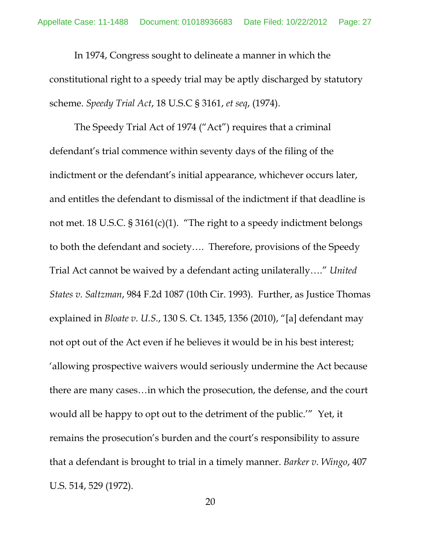In 1974, Congress sought to delineate a manner in which the constitutional right to a speedy trial may be aptly discharged by statutory scheme. *Speedy Trial Act*, 18 U.S.C § 3161, *et seq*, (1974).

The Speedy Trial Act of 1974 ("Act") requires that a criminal defendant's trial commence within seventy days of the filing of the indictment or the defendant's initial appearance, whichever occurs later, and entitles the defendant to dismissal of the indictment if that deadline is not met. 18 U.S.C. § 3161(c)(1). "The right to a speedy indictment belongs to both the defendant and society…. Therefore, provisions of the Speedy Trial Act cannot be waived by a defendant acting unilaterally…." *United States v. Saltzman*, 984 F.2d 1087 (10th Cir. 1993). Further, as Justice Thomas explained in *Bloate v. U.S.*, 130 S. Ct. 1345, 1356 (2010), "[a] defendant may not opt out of the Act even if he believes it would be in his best interest; 'allowing prospective waivers would seriously undermine the Act because there are many cases…in which the prosecution, the defense, and the court would all be happy to opt out to the detriment of the public.'" Yet, it remains the prosecution's burden and the court's responsibility to assure that a defendant is brought to trial in a timely manner. *Barker v. Wingo*, 407 U.S. 514, 529 (1972).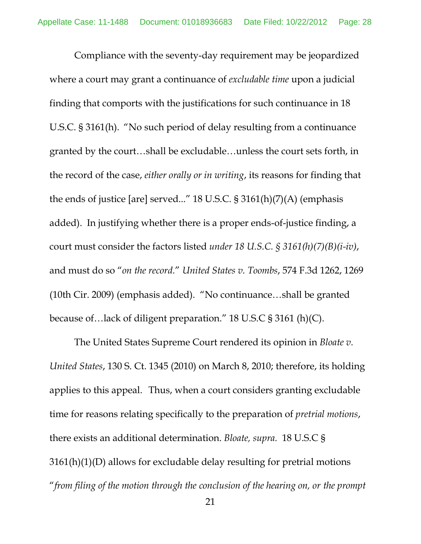Compliance with the seventy-day requirement may be jeopardized where a court may grant a continuance of *excludable time* upon a judicial finding that comports with the justifications for such continuance in 18 U.S.C. § 3161(h). "No such period of delay resulting from a continuance granted by the court…shall be excludable…unless the court sets forth, in the record of the case, *either orally or in writing*, its reasons for finding that the ends of justice [are] served..." 18 U.S.C. § 3161(h)(7)(A) (emphasis added). In justifying whether there is a proper ends-of-justice finding, a court must consider the factors listed *under 18 U.S.C. § 3161(h)(7)(B)(i-iv)*, and must do so "*on the record.*" *United States v. Toombs*, 574 F.3d 1262, 1269 (10th Cir. 2009) (emphasis added). "No continuance…shall be granted because of…lack of diligent preparation." 18 U.S.C § 3161 (h)(C).

The United States Supreme Court rendered its opinion in *Bloate v. United States*, 130 S. Ct. 1345 (2010) on March 8, 2010; therefore, its holding applies to this appeal. Thus, when a court considers granting excludable time for reasons relating specifically to the preparation of *pretrial motions*, there exists an additional determination. *Bloate, supra.* 18 U.S.C § 3161(h)(1)(D) allows for excludable delay resulting for pretrial motions "*from filing of the motion through the conclusion of the hearing on, or the prompt*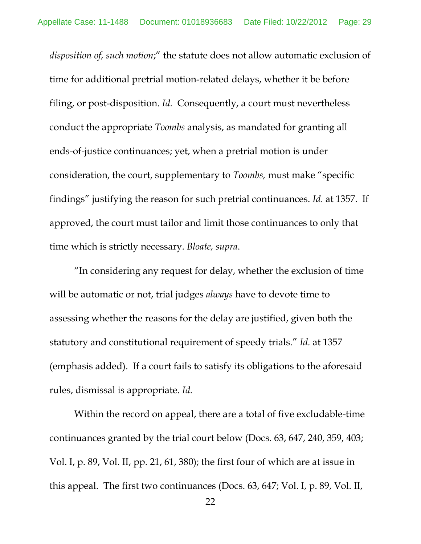*disposition of, such motion*;" the statute does not allow automatic exclusion of time for additional pretrial motion-related delays, whether it be before filing, or post-disposition. *Id.* Consequently, a court must nevertheless conduct the appropriate *Toombs* analysis, as mandated for granting all ends-of-justice continuances; yet, when a pretrial motion is under consideration, the court, supplementary to *Toombs,* must make "specific findings" justifying the reason for such pretrial continuances. *Id.* at 1357. If approved, the court must tailor and limit those continuances to only that time which is strictly necessary. *Bloate, supra*.

"In considering any request for delay, whether the exclusion of time will be automatic or not, trial judges *always* have to devote time to assessing whether the reasons for the delay are justified, given both the statutory and constitutional requirement of speedy trials." *Id.* at 1357 (emphasis added). If a court fails to satisfy its obligations to the aforesaid rules, dismissal is appropriate. *Id.*

Within the record on appeal, there are a total of five excludable-time continuances granted by the trial court below (Docs. 63, 647, 240, 359, 403; Vol. I, p. 89, Vol. II, pp. 21, 61, 380); the first four of which are at issue in this appeal. The first two continuances (Docs. 63, 647; Vol. I, p. 89, Vol. II,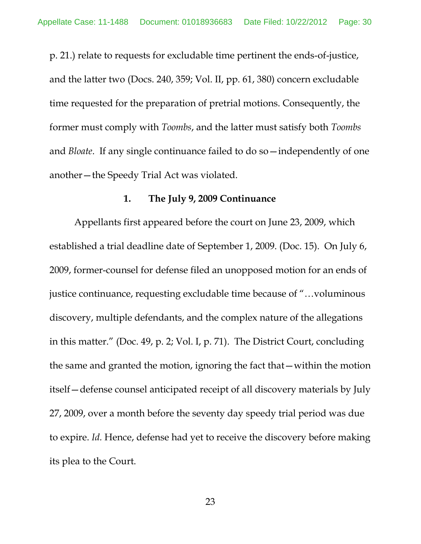p. 21.) relate to requests for excludable time pertinent the ends-of-justice, and the latter two (Docs. 240, 359; Vol. II, pp. 61, 380) concern excludable time requested for the preparation of pretrial motions. Consequently, the former must comply with *Toombs*, and the latter must satisfy both *Toombs* and *Bloate*. If any single continuance failed to do so—independently of one another—the Speedy Trial Act was violated.

### **1. The July 9, 2009 Continuance**

Appellants first appeared before the court on June 23, 2009, which established a trial deadline date of September 1, 2009. (Doc. 15). On July 6, 2009, former-counsel for defense filed an unopposed motion for an ends of justice continuance, requesting excludable time because of "…voluminous discovery, multiple defendants, and the complex nature of the allegations in this matter." (Doc. 49, p. 2; Vol. I, p. 71). The District Court, concluding the same and granted the motion, ignoring the fact that—within the motion itself—defense counsel anticipated receipt of all discovery materials by July 27, 2009, over a month before the seventy day speedy trial period was due to expire. *Id.* Hence, defense had yet to receive the discovery before making its plea to the Court.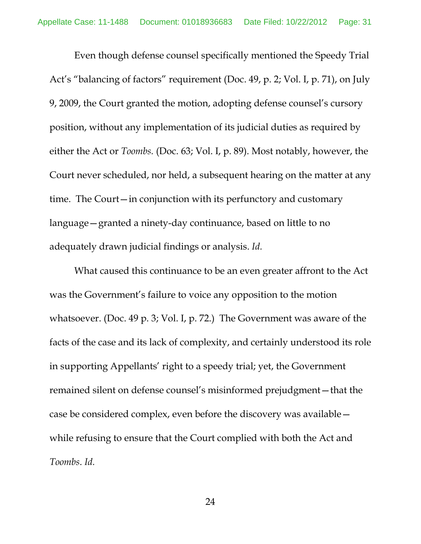Even though defense counsel specifically mentioned the Speedy Trial Act's "balancing of factors" requirement (Doc. 49, p. 2; Vol. I, p. 71), on July 9, 2009, the Court granted the motion, adopting defense counsel's cursory position, without any implementation of its judicial duties as required by either the Act or *Toombs.* (Doc. 63; Vol. I, p. 89). Most notably, however, the Court never scheduled, nor held, a subsequent hearing on the matter at any time. The Court—in conjunction with its perfunctory and customary language—granted a ninety-day continuance, based on little to no adequately drawn judicial findings or analysis. *Id.*

What caused this continuance to be an even greater affront to the Act was the Government's failure to voice any opposition to the motion whatsoever. (Doc. 49 p. 3; Vol. I, p. 72.) The Government was aware of the facts of the case and its lack of complexity, and certainly understood its role in supporting Appellants' right to a speedy trial; yet, the Government remained silent on defense counsel's misinformed prejudgment—that the case be considered complex, even before the discovery was available while refusing to ensure that the Court complied with both the Act and *Toombs*. *Id.*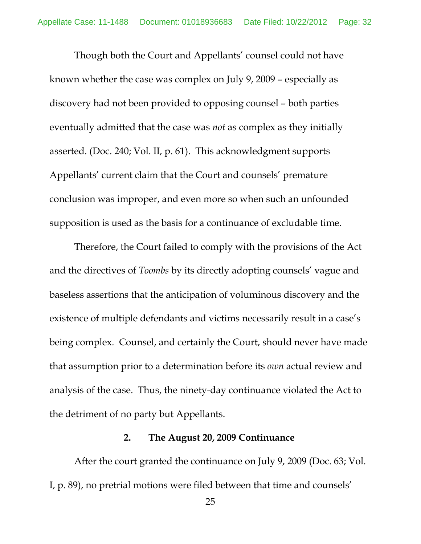Though both the Court and Appellants' counsel could not have known whether the case was complex on July 9, 2009 – especially as discovery had not been provided to opposing counsel – both parties eventually admitted that the case was *not* as complex as they initially asserted. (Doc. 240; Vol. II, p. 61). This acknowledgment supports Appellants' current claim that the Court and counsels' premature conclusion was improper, and even more so when such an unfounded supposition is used as the basis for a continuance of excludable time.

Therefore, the Court failed to comply with the provisions of the Act and the directives of *Toombs* by its directly adopting counsels' vague and baseless assertions that the anticipation of voluminous discovery and the existence of multiple defendants and victims necessarily result in a case's being complex. Counsel, and certainly the Court, should never have made that assumption prior to a determination before its *own* actual review and analysis of the case. Thus, the ninety-day continuance violated the Act to the detriment of no party but Appellants.

#### **2. The August 20, 2009 Continuance**

After the court granted the continuance on July 9, 2009 (Doc. 63; Vol. I, p. 89), no pretrial motions were filed between that time and counsels'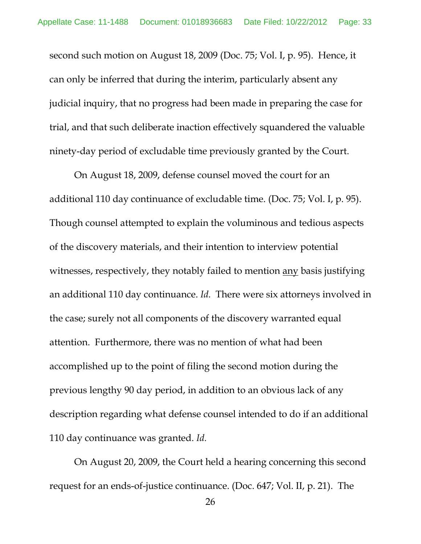second such motion on August 18, 2009 (Doc. 75; Vol. I, p. 95). Hence, it can only be inferred that during the interim, particularly absent any judicial inquiry, that no progress had been made in preparing the case for trial, and that such deliberate inaction effectively squandered the valuable ninety-day period of excludable time previously granted by the Court.

On August 18, 2009, defense counsel moved the court for an additional 110 day continuance of excludable time. (Doc. 75; Vol. I, p. 95). Though counsel attempted to explain the voluminous and tedious aspects of the discovery materials, and their intention to interview potential witnesses, respectively, they notably failed to mention any basis justifying an additional 110 day continuance. *Id.* There were six attorneys involved in the case; surely not all components of the discovery warranted equal attention. Furthermore, there was no mention of what had been accomplished up to the point of filing the second motion during the previous lengthy 90 day period, in addition to an obvious lack of any description regarding what defense counsel intended to do if an additional 110 day continuance was granted. *Id.*

On August 20, 2009, the Court held a hearing concerning this second request for an ends-of-justice continuance. (Doc. 647; Vol. II, p. 21). The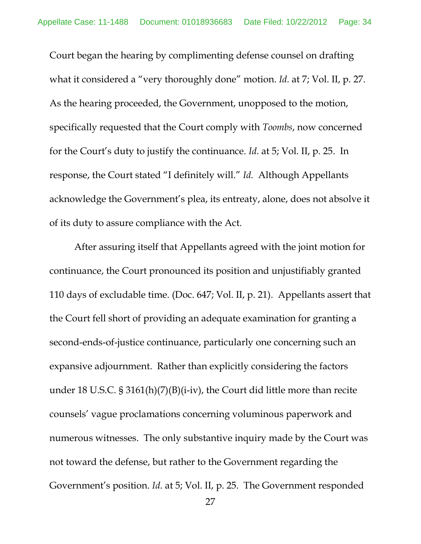Court began the hearing by complimenting defense counsel on drafting what it considered a "very thoroughly done" motion. *Id.* at 7; Vol. II, p. 27. As the hearing proceeded, the Government, unopposed to the motion, specifically requested that the Court comply with *Toombs*, now concerned for the Court's duty to justify the continuance. *Id.* at 5; Vol. II, p. 25. In response, the Court stated "I definitely will." *Id.* Although Appellants acknowledge the Government's plea, its entreaty, alone, does not absolve it of its duty to assure compliance with the Act.

After assuring itself that Appellants agreed with the joint motion for continuance, the Court pronounced its position and unjustifiably granted 110 days of excludable time. (Doc. 647; Vol. II, p. 21). Appellants assert that the Court fell short of providing an adequate examination for granting a second-ends-of-justice continuance, particularly one concerning such an expansive adjournment. Rather than explicitly considering the factors under 18 U.S.C. § 3161(h)(7)(B)(i-iv), the Court did little more than recite counsels' vague proclamations concerning voluminous paperwork and numerous witnesses. The only substantive inquiry made by the Court was not toward the defense, but rather to the Government regarding the Government's position. *Id.* at 5; Vol. II, p. 25. The Government responded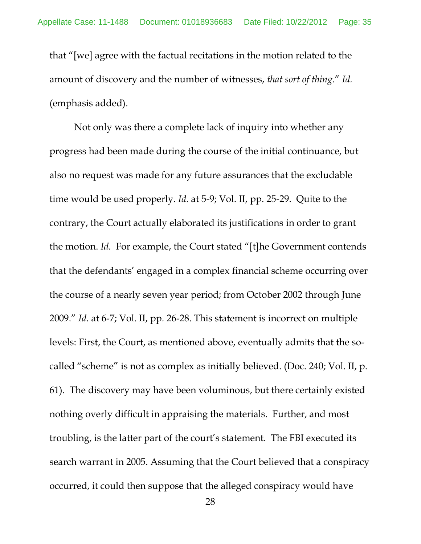that "[we] agree with the factual recitations in the motion related to the amount of discovery and the number of witnesses, *that sort of thing*." *Id.*  (emphasis added).

Not only was there a complete lack of inquiry into whether any progress had been made during the course of the initial continuance, but also no request was made for any future assurances that the excludable time would be used properly. *Id.* at 5-9; Vol. II, pp. 25-29. Quite to the contrary, the Court actually elaborated its justifications in order to grant the motion. *Id.* For example, the Court stated "[t]he Government contends that the defendants' engaged in a complex financial scheme occurring over the course of a nearly seven year period; from October 2002 through June 2009." *Id.* at 6-7; Vol. II, pp. 26-28. This statement is incorrect on multiple levels: First, the Court, as mentioned above, eventually admits that the socalled "scheme" is not as complex as initially believed. (Doc. 240; Vol. II, p. 61). The discovery may have been voluminous, but there certainly existed nothing overly difficult in appraising the materials. Further, and most troubling, is the latter part of the court's statement. The FBI executed its search warrant in 2005. Assuming that the Court believed that a conspiracy occurred, it could then suppose that the alleged conspiracy would have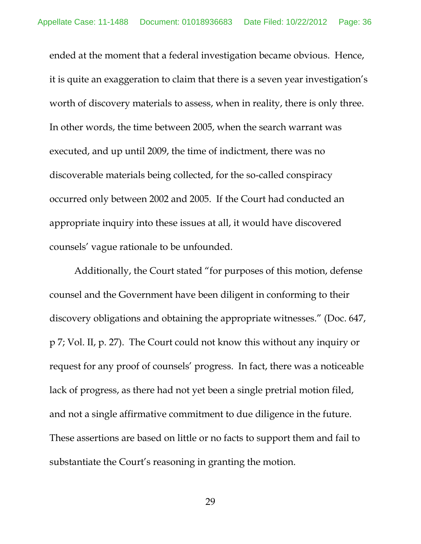ended at the moment that a federal investigation became obvious. Hence, it is quite an exaggeration to claim that there is a seven year investigation's worth of discovery materials to assess, when in reality, there is only three. In other words, the time between 2005, when the search warrant was executed, and up until 2009, the time of indictment, there was no discoverable materials being collected, for the so-called conspiracy occurred only between 2002 and 2005. If the Court had conducted an appropriate inquiry into these issues at all, it would have discovered counsels' vague rationale to be unfounded.

Additionally, the Court stated "for purposes of this motion, defense counsel and the Government have been diligent in conforming to their discovery obligations and obtaining the appropriate witnesses." (Doc. 647, p 7; Vol. II, p. 27). The Court could not know this without any inquiry or request for any proof of counsels' progress. In fact, there was a noticeable lack of progress, as there had not yet been a single pretrial motion filed, and not a single affirmative commitment to due diligence in the future. These assertions are based on little or no facts to support them and fail to substantiate the Court's reasoning in granting the motion.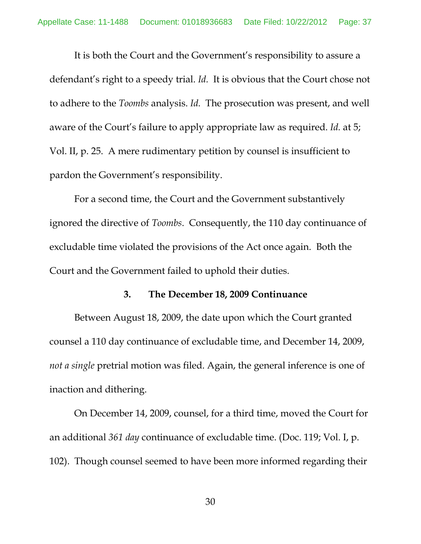It is both the Court and the Government's responsibility to assure a defendant's right to a speedy trial. *Id.* It is obvious that the Court chose not to adhere to the *Toombs* analysis. *Id.* The prosecution was present, and well aware of the Court's failure to apply appropriate law as required. *Id.* at 5; Vol. II, p. 25. A mere rudimentary petition by counsel is insufficient to pardon the Government's responsibility.

For a second time, the Court and the Government substantively ignored the directive of *Toombs*. Consequently, the 110 day continuance of excludable time violated the provisions of the Act once again. Both the Court and the Government failed to uphold their duties.

#### **3. The December 18, 2009 Continuance**

Between August 18, 2009, the date upon which the Court granted counsel a 110 day continuance of excludable time, and December 14, 2009, *not a single* pretrial motion was filed. Again, the general inference is one of inaction and dithering.

On December 14, 2009, counsel, for a third time, moved the Court for an additional *361 day* continuance of excludable time. (Doc. 119; Vol. I, p. 102). Though counsel seemed to have been more informed regarding their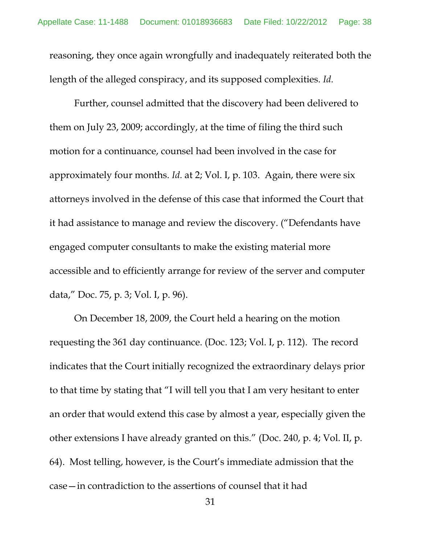reasoning, they once again wrongfully and inadequately reiterated both the length of the alleged conspiracy, and its supposed complexities. *Id.* 

Further, counsel admitted that the discovery had been delivered to them on July 23, 2009; accordingly, at the time of filing the third such motion for a continuance, counsel had been involved in the case for approximately four months. *Id.* at 2; Vol. I, p. 103. Again, there were six attorneys involved in the defense of this case that informed the Court that it had assistance to manage and review the discovery. ("Defendants have engaged computer consultants to make the existing material more accessible and to efficiently arrange for review of the server and computer data," Doc. 75, p. 3; Vol. I, p. 96).

On December 18, 2009, the Court held a hearing on the motion requesting the 361 day continuance. (Doc. 123; Vol. I, p. 112). The record indicates that the Court initially recognized the extraordinary delays prior to that time by stating that "I will tell you that I am very hesitant to enter an order that would extend this case by almost a year, especially given the other extensions I have already granted on this." (Doc. 240, p. 4; Vol. II, p. 64). Most telling, however, is the Court's immediate admission that the case—in contradiction to the assertions of counsel that it had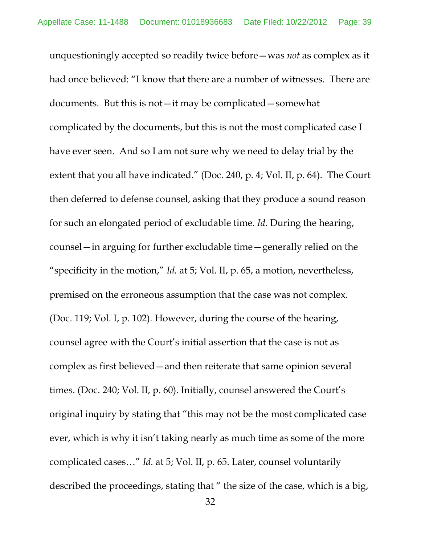unquestioningly accepted so readily twice before—was *not* as complex as it had once believed: "I know that there are a number of witnesses. There are documents. But this is not—it may be complicated—somewhat complicated by the documents, but this is not the most complicated case I have ever seen. And so I am not sure why we need to delay trial by the extent that you all have indicated." (Doc. 240, p. 4; Vol. II, p. 64). The Court then deferred to defense counsel, asking that they produce a sound reason for such an elongated period of excludable time. *Id.* During the hearing, counsel—in arguing for further excludable time—generally relied on the "specificity in the motion," *Id.* at 5; Vol. II, p. 65, a motion, nevertheless, premised on the erroneous assumption that the case was not complex. (Doc. 119; Vol. I, p. 102). However, during the course of the hearing, counsel agree with the Court's initial assertion that the case is not as complex as first believed—and then reiterate that same opinion several times. (Doc. 240; Vol. II, p. 60). Initially, counsel answered the Court's original inquiry by stating that "this may not be the most complicated case ever, which is why it isn't taking nearly as much time as some of the more complicated cases…" *Id.* at 5; Vol. II, p. 65. Later, counsel voluntarily described the proceedings, stating that " the size of the case, which is a big,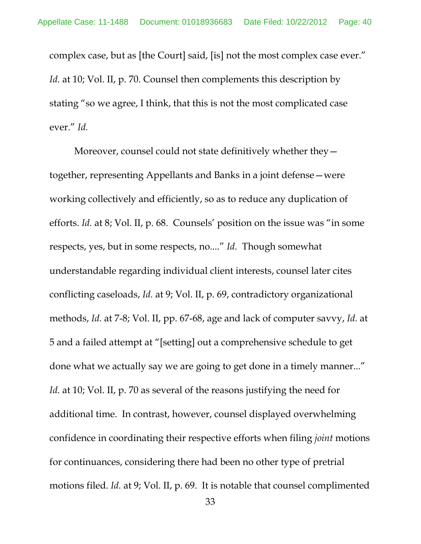complex case, but as [the Court] said, [is] not the most complex case ever." *Id.* at 10; Vol. II, p. 70. Counsel then complements this description by stating "so we agree, I think, that this is not the most complicated case ever." *Id.* 

Moreover, counsel could not state definitively whether they together, representing Appellants and Banks in a joint defense—were working collectively and efficiently, so as to reduce any duplication of efforts. *Id.* at 8; Vol. II, p. 68. Counsels' position on the issue was "in some respects, yes, but in some respects, no...." *Id.* Though somewhat understandable regarding individual client interests, counsel later cites conflicting caseloads, *Id.* at 9; Vol. II, p. 69, contradictory organizational methods, *Id.* at 7-8; Vol. II, pp. 67-68, age and lack of computer savvy, *Id.* at 5 and a failed attempt at "[setting] out a comprehensive schedule to get done what we actually say we are going to get done in a timely manner..." *Id.* at 10; Vol. II, p. 70 as several of the reasons justifying the need for additional time. In contrast, however, counsel displayed overwhelming confidence in coordinating their respective efforts when filing *joint* motions for continuances, considering there had been no other type of pretrial motions filed. *Id.* at 9; Vol. II, p. 69. It is notable that counsel complimented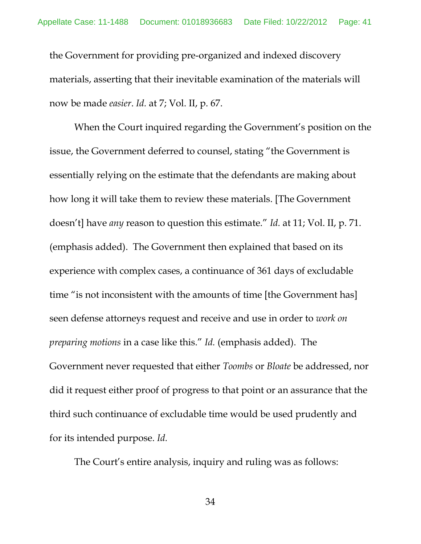the Government for providing pre-organized and indexed discovery materials, asserting that their inevitable examination of the materials will now be made *easier*. *Id.* at 7; Vol. II, p. 67.

When the Court inquired regarding the Government's position on the issue, the Government deferred to counsel, stating "the Government is essentially relying on the estimate that the defendants are making about how long it will take them to review these materials. [The Government doesn't] have *any* reason to question this estimate." *Id.* at 11; Vol. II, p. 71. (emphasis added). The Government then explained that based on its experience with complex cases, a continuance of 361 days of excludable time "is not inconsistent with the amounts of time [the Government has] seen defense attorneys request and receive and use in order to *work on preparing motions* in a case like this." *Id.* (emphasis added). The Government never requested that either *Toombs* or *Bloate* be addressed, nor did it request either proof of progress to that point or an assurance that the third such continuance of excludable time would be used prudently and for its intended purpose. *Id.*

The Court's entire analysis, inquiry and ruling was as follows:

34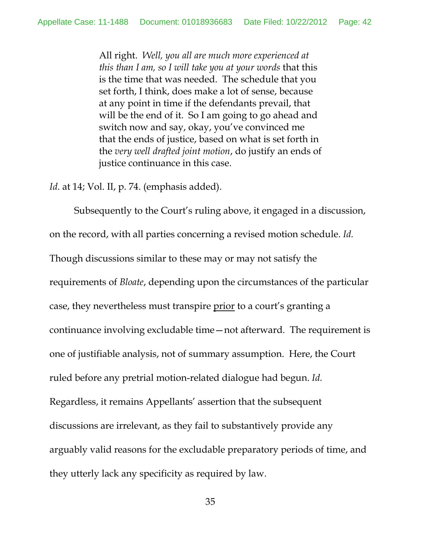All right. *Well, you all are much more experienced at this than I am, so I will take you at your words* that this is the time that was needed. The schedule that you set forth, I think, does make a lot of sense, because at any point in time if the defendants prevail, that will be the end of it. So I am going to go ahead and switch now and say, okay, you've convinced me that the ends of justice, based on what is set forth in the *very well drafted joint motion*, do justify an ends of justice continuance in this case.

*Id*. at 14; Vol. II, p. 74. (emphasis added).

Subsequently to the Court's ruling above, it engaged in a discussion, on the record, with all parties concerning a revised motion schedule. *Id.*  Though discussions similar to these may or may not satisfy the requirements of *Bloate*, depending upon the circumstances of the particular case, they nevertheless must transpire prior to a court's granting a continuance involving excludable time—not afterward. The requirement is one of justifiable analysis, not of summary assumption. Here, the Court ruled before any pretrial motion-related dialogue had begun. *Id.* Regardless, it remains Appellants' assertion that the subsequent discussions are irrelevant, as they fail to substantively provide any arguably valid reasons for the excludable preparatory periods of time, and they utterly lack any specificity as required by law.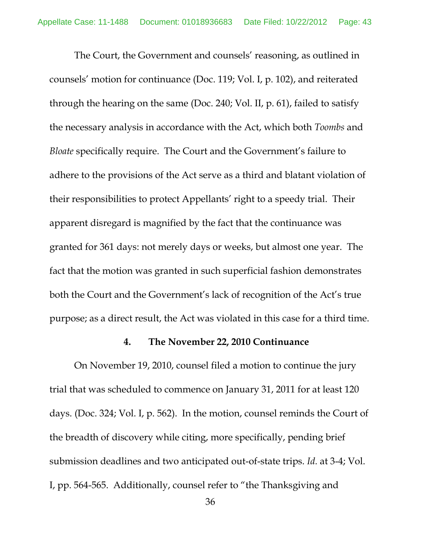The Court, the Government and counsels' reasoning, as outlined in counsels' motion for continuance (Doc. 119; Vol. I, p. 102), and reiterated through the hearing on the same (Doc. 240; Vol. II, p. 61), failed to satisfy the necessary analysis in accordance with the Act, which both *Toombs* and *Bloate* specifically require. The Court and the Government's failure to adhere to the provisions of the Act serve as a third and blatant violation of their responsibilities to protect Appellants' right to a speedy trial. Their apparent disregard is magnified by the fact that the continuance was granted for 361 days: not merely days or weeks, but almost one year. The fact that the motion was granted in such superficial fashion demonstrates both the Court and the Government's lack of recognition of the Act's true purpose; as a direct result, the Act was violated in this case for a third time.

### **4. The November 22, 2010 Continuance**

 On November 19, 2010, counsel filed a motion to continue the jury trial that was scheduled to commence on January 31, 2011 for at least 120 days. (Doc. 324; Vol. I, p. 562). In the motion, counsel reminds the Court of the breadth of discovery while citing, more specifically, pending brief submission deadlines and two anticipated out-of-state trips. *Id.* at 3-4; Vol. I, pp. 564-565. Additionally, counsel refer to "the Thanksgiving and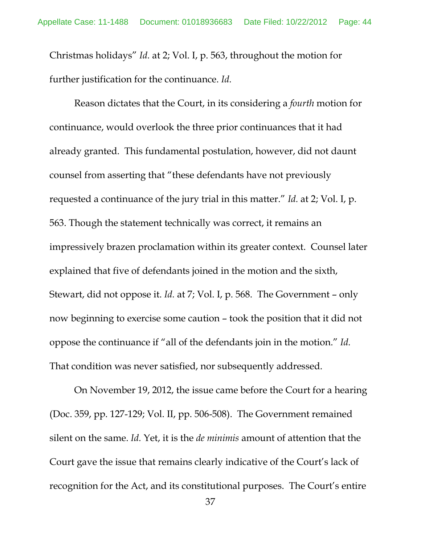Christmas holidays" *Id.* at 2; Vol. I, p. 563, throughout the motion for further justification for the continuance. *Id.* 

Reason dictates that the Court, in its considering a *fourth* motion for continuance, would overlook the three prior continuances that it had already granted. This fundamental postulation, however, did not daunt counsel from asserting that "these defendants have not previously requested a continuance of the jury trial in this matter." *Id.* at 2; Vol. I, p. 563. Though the statement technically was correct, it remains an impressively brazen proclamation within its greater context. Counsel later explained that five of defendants joined in the motion and the sixth, Stewart, did not oppose it. *Id.* at 7; Vol. I, p. 568. The Government – only now beginning to exercise some caution – took the position that it did not oppose the continuance if "all of the defendants join in the motion." *Id.*  That condition was never satisfied, nor subsequently addressed.

On November 19, 2012, the issue came before the Court for a hearing (Doc. 359, pp. 127-129; Vol. II, pp. 506-508). The Government remained silent on the same. *Id.* Yet, it is the *de minimis* amount of attention that the Court gave the issue that remains clearly indicative of the Court's lack of recognition for the Act, and its constitutional purposes. The Court's entire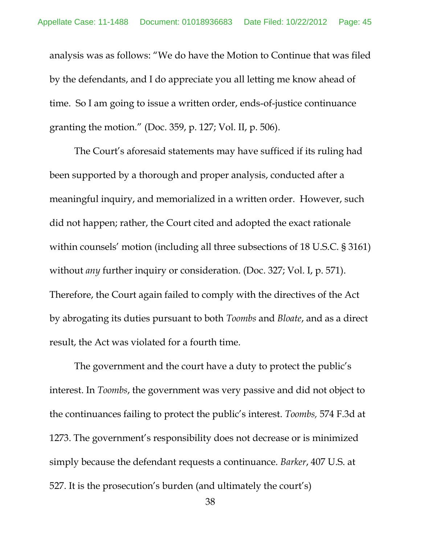analysis was as follows: "We do have the Motion to Continue that was filed by the defendants, and I do appreciate you all letting me know ahead of time. So I am going to issue a written order, ends-of-justice continuance granting the motion." (Doc. 359, p. 127; Vol. II, p. 506).

The Court's aforesaid statements may have sufficed if its ruling had been supported by a thorough and proper analysis, conducted after a meaningful inquiry, and memorialized in a written order. However, such did not happen; rather, the Court cited and adopted the exact rationale within counsels' motion (including all three subsections of 18 U.S.C. § 3161) without *any* further inquiry or consideration. (Doc. 327; Vol. I, p. 571). Therefore, the Court again failed to comply with the directives of the Act by abrogating its duties pursuant to both *Toombs* and *Bloate*, and as a direct result, the Act was violated for a fourth time.

The government and the court have a duty to protect the public's interest. In *Toombs*, the government was very passive and did not object to the continuances failing to protect the public's interest. *Toombs,* 574 F.3d at 1273. The government's responsibility does not decrease or is minimized simply because the defendant requests a continuance. *Barker*, 407 U.S. at 527. It is the prosecution's burden (and ultimately the court's)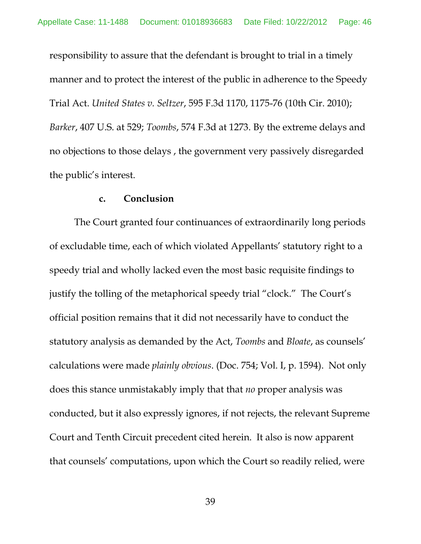responsibility to assure that the defendant is brought to trial in a timely manner and to protect the interest of the public in adherence to the Speedy Trial Act. *United States v. Seltzer*, 595 F.3d 1170, 1175-76 (10th Cir. 2010); *Barker*, 407 U.S. at 529; *Toombs*, 574 F.3d at 1273. By the extreme delays and no objections to those delays , the government very passively disregarded the public's interest.

#### **c. Conclusion**

The Court granted four continuances of extraordinarily long periods of excludable time, each of which violated Appellants' statutory right to a speedy trial and wholly lacked even the most basic requisite findings to justify the tolling of the metaphorical speedy trial "clock." The Court's official position remains that it did not necessarily have to conduct the statutory analysis as demanded by the Act, *Toombs* and *Bloate*, as counsels' calculations were made *plainly obvious*. (Doc. 754; Vol. I, p. 1594). Not only does this stance unmistakably imply that that *no* proper analysis was conducted, but it also expressly ignores, if not rejects, the relevant Supreme Court and Tenth Circuit precedent cited herein. It also is now apparent that counsels' computations, upon which the Court so readily relied, were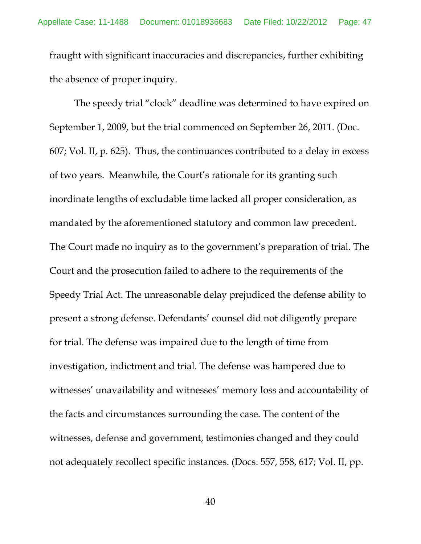fraught with significant inaccuracies and discrepancies, further exhibiting the absence of proper inquiry.

 The speedy trial "clock" deadline was determined to have expired on September 1, 2009, but the trial commenced on September 26, 2011. (Doc. 607; Vol. II, p. 625). Thus, the continuances contributed to a delay in excess of two years. Meanwhile, the Court's rationale for its granting such inordinate lengths of excludable time lacked all proper consideration, as mandated by the aforementioned statutory and common law precedent. The Court made no inquiry as to the government's preparation of trial. The Court and the prosecution failed to adhere to the requirements of the Speedy Trial Act. The unreasonable delay prejudiced the defense ability to present a strong defense. Defendants' counsel did not diligently prepare for trial. The defense was impaired due to the length of time from investigation, indictment and trial. The defense was hampered due to witnesses' unavailability and witnesses' memory loss and accountability of the facts and circumstances surrounding the case. The content of the witnesses, defense and government, testimonies changed and they could not adequately recollect specific instances. (Docs. 557, 558, 617; Vol. II, pp.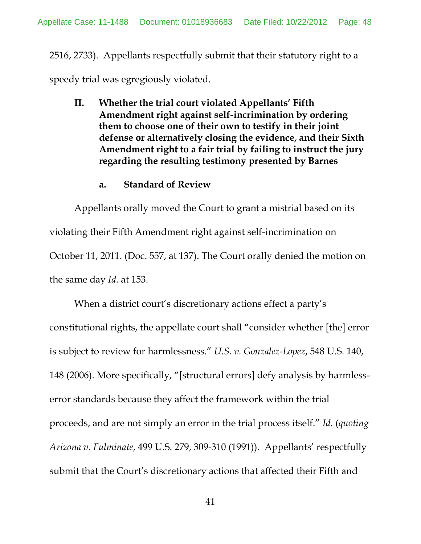2516, 2733). Appellants respectfully submit that their statutory right to a speedy trial was egregiously violated.

**II. Whether the trial court violated Appellants' Fifth Amendment right against self-incrimination by ordering them to choose one of their own to testify in their joint defense or alternatively closing the evidence, and their Sixth Amendment right to a fair trial by failing to instruct the jury regarding the resulting testimony presented by Barnes**

### **a. Standard of Review**

Appellants orally moved the Court to grant a mistrial based on its violating their Fifth Amendment right against self-incrimination on October 11, 2011. (Doc. 557, at 137). The Court orally denied the motion on the same day *Id.* at 153.

When a district court's discretionary actions effect a party's constitutional rights, the appellate court shall "consider whether [the] error is subject to review for harmlessness." *U.S. v. Gonzalez-Lopez*, 548 U.S. 140, 148 (2006). More specifically, "[structural errors] defy analysis by harmlesserror standards because they affect the framework within the trial proceeds, and are not simply an error in the trial process itself." *Id.* (*quoting Arizona v. Fulminate*, 499 U.S. 279, 309-310 (1991)). Appellants' respectfully submit that the Court's discretionary actions that affected their Fifth and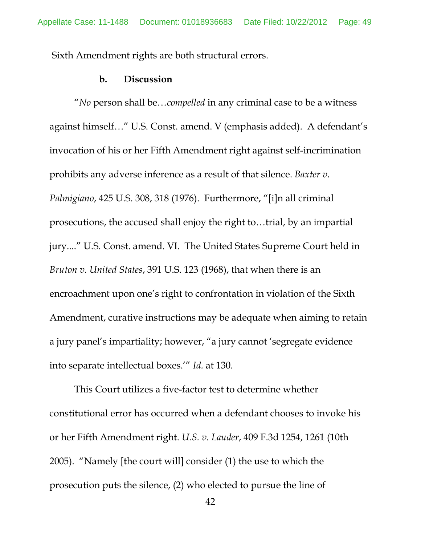Sixth Amendment rights are both structural errors.

#### **b. Discussion**

"*No* person shall be…*compelled* in any criminal case to be a witness against himself…" U.S. Const. amend. V (emphasis added). A defendant's invocation of his or her Fifth Amendment right against self-incrimination prohibits any adverse inference as a result of that silence. *Baxter v. Palmigiano*, 425 U.S. 308, 318 (1976). Furthermore, "[i]n all criminal prosecutions, the accused shall enjoy the right to…trial, by an impartial jury...." U.S. Const. amend. VI. The United States Supreme Court held in *Bruton v. United States*, 391 U.S. 123 (1968), that when there is an encroachment upon one's right to confrontation in violation of the Sixth Amendment, curative instructions may be adequate when aiming to retain a jury panel's impartiality; however, "a jury cannot 'segregate evidence into separate intellectual boxes.'" *Id.* at 130.

This Court utilizes a five-factor test to determine whether constitutional error has occurred when a defendant chooses to invoke his or her Fifth Amendment right. *U.S. v. Lauder*, 409 F.3d 1254, 1261 (10th 2005). "Namely [the court will] consider (1) the use to which the prosecution puts the silence, (2) who elected to pursue the line of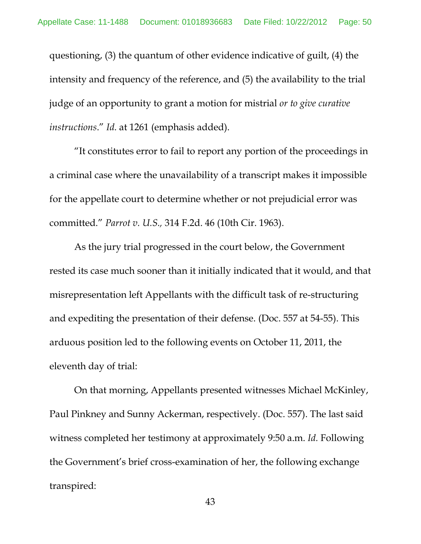questioning, (3) the quantum of other evidence indicative of guilt, (4) the intensity and frequency of the reference, and (5) the availability to the trial judge of an opportunity to grant a motion for mistrial *or to give curative instructions*." *Id.* at 1261 (emphasis added).

"It constitutes error to fail to report any portion of the proceedings in a criminal case where the unavailability of a transcript makes it impossible for the appellate court to determine whether or not prejudicial error was committed." *Parrot v. U.S.,* 314 F.2d. 46 (10th Cir. 1963).

As the jury trial progressed in the court below, the Government rested its case much sooner than it initially indicated that it would, and that misrepresentation left Appellants with the difficult task of re-structuring and expediting the presentation of their defense. (Doc. 557 at 54-55). This arduous position led to the following events on October 11, 2011, the eleventh day of trial:

On that morning, Appellants presented witnesses Michael McKinley, Paul Pinkney and Sunny Ackerman, respectively. (Doc. 557). The last said witness completed her testimony at approximately 9:50 a.m. *Id.* Following the Government's brief cross-examination of her, the following exchange transpired: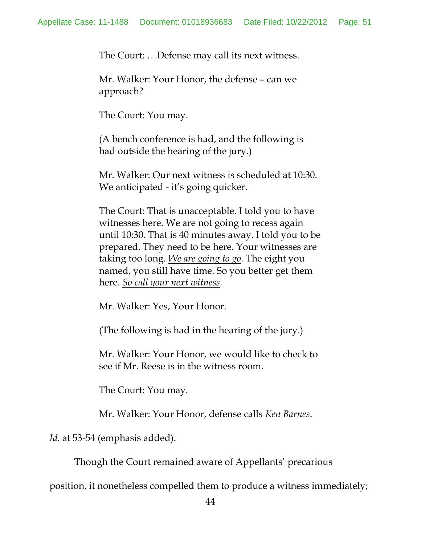The Court: …Defense may call its next witness.

Mr. Walker: Your Honor, the defense – can we approach?

The Court: You may.

(A bench conference is had, and the following is had outside the hearing of the jury.)

Mr. Walker: Our next witness is scheduled at 10:30. We anticipated - it's going quicker.

The Court: That is unacceptable. I told you to have witnesses here. We are not going to recess again until 10:30. That is 40 minutes away. I told you to be prepared. They need to be here. Your witnesses are taking too long. *We are going to go.* The eight you named, you still have time. So you better get them here. *So call your next witness.*

Mr. Walker: Yes, Your Honor.

(The following is had in the hearing of the jury.)

Mr. Walker: Your Honor, we would like to check to see if Mr. Reese is in the witness room.

The Court: You may.

Mr. Walker: Your Honor, defense calls *Ken Barnes*.

*Id.* at 53-54 (emphasis added).

Though the Court remained aware of Appellants' precarious

position, it nonetheless compelled them to produce a witness immediately;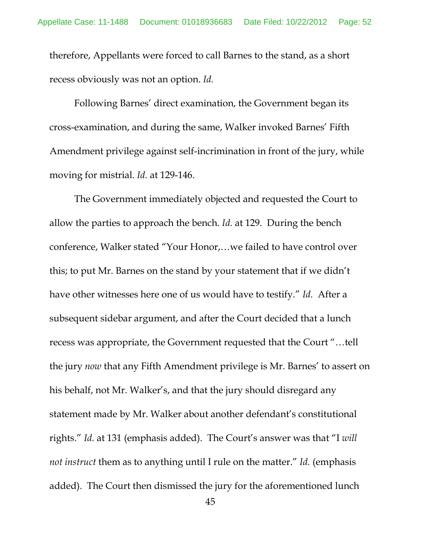therefore, Appellants were forced to call Barnes to the stand, as a short recess obviously was not an option. *Id.*

Following Barnes' direct examination, the Government began its cross-examination, and during the same, Walker invoked Barnes' Fifth Amendment privilege against self-incrimination in front of the jury, while moving for mistrial. *Id.* at 129-146.

The Government immediately objected and requested the Court to allow the parties to approach the bench. *Id.* at 129. During the bench conference, Walker stated "Your Honor,…we failed to have control over this; to put Mr. Barnes on the stand by your statement that if we didn't have other witnesses here one of us would have to testify." *Id.* After a subsequent sidebar argument, and after the Court decided that a lunch recess was appropriate, the Government requested that the Court "…tell the jury *now* that any Fifth Amendment privilege is Mr. Barnes' to assert on his behalf, not Mr. Walker's, and that the jury should disregard any statement made by Mr. Walker about another defendant's constitutional rights." *Id.* at 131 (emphasis added). The Court's answer was that "I *will not instruct* them as to anything until I rule on the matter." *Id.* (emphasis added). The Court then dismissed the jury for the aforementioned lunch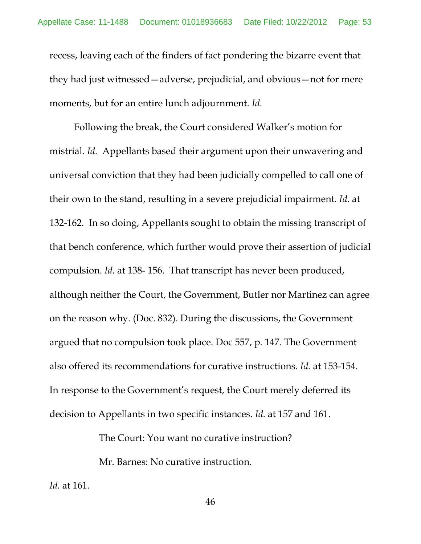recess, leaving each of the finders of fact pondering the bizarre event that they had just witnessed—adverse, prejudicial, and obvious—not for mere moments, but for an entire lunch adjournment. *Id.*

Following the break, the Court considered Walker's motion for mistrial. *Id.* Appellants based their argument upon their unwavering and universal conviction that they had been judicially compelled to call one of their own to the stand, resulting in a severe prejudicial impairment. *Id.* at 132-162. In so doing, Appellants sought to obtain the missing transcript of that bench conference, which further would prove their assertion of judicial compulsion. *Id.* at 138- 156. That transcript has never been produced, although neither the Court, the Government, Butler nor Martinez can agree on the reason why. (Doc. 832). During the discussions, the Government argued that no compulsion took place. Doc 557, p. 147. The Government also offered its recommendations for curative instructions. *Id.* at 153-154. In response to the Government's request, the Court merely deferred its decision to Appellants in two specific instances. *Id.* at 157 and 161.

The Court: You want no curative instruction?

Mr. Barnes: No curative instruction.

*Id.* at 161.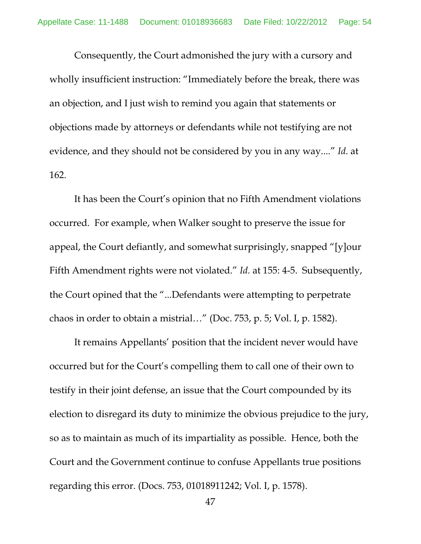Consequently, the Court admonished the jury with a cursory and wholly insufficient instruction: "Immediately before the break, there was an objection, and I just wish to remind you again that statements or objections made by attorneys or defendants while not testifying are not evidence, and they should not be considered by you in any way...." *Id*. at 162.

It has been the Court's opinion that no Fifth Amendment violations occurred. For example, when Walker sought to preserve the issue for appeal, the Court defiantly, and somewhat surprisingly, snapped "[y]our Fifth Amendment rights were not violated." *Id.* at 155: 4-5. Subsequently, the Court opined that the "...Defendants were attempting to perpetrate chaos in order to obtain a mistrial…" (Doc. 753, p. 5; Vol. I, p. 1582).

It remains Appellants' position that the incident never would have occurred but for the Court's compelling them to call one of their own to testify in their joint defense, an issue that the Court compounded by its election to disregard its duty to minimize the obvious prejudice to the jury, so as to maintain as much of its impartiality as possible. Hence, both the Court and the Government continue to confuse Appellants true positions regarding this error. (Docs. 753, 01018911242; Vol. I, p. 1578).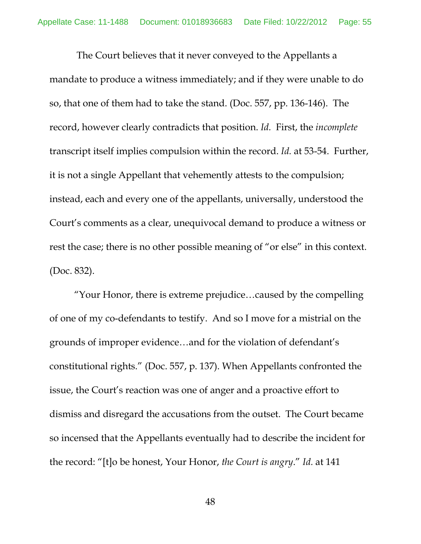The Court believes that it never conveyed to the Appellants a mandate to produce a witness immediately; and if they were unable to do so, that one of them had to take the stand. (Doc. 557, pp. 136-146). The record, however clearly contradicts that position. *Id.* First, the *incomplete* transcript itself implies compulsion within the record. *Id.* at 53-54. Further, it is not a single Appellant that vehemently attests to the compulsion; instead, each and every one of the appellants, universally, understood the Court's comments as a clear, unequivocal demand to produce a witness or rest the case; there is no other possible meaning of "or else" in this context. (Doc. 832).

"Your Honor, there is extreme prejudice…caused by the compelling of one of my co-defendants to testify. And so I move for a mistrial on the grounds of improper evidence…and for the violation of defendant's constitutional rights." (Doc. 557, p. 137). When Appellants confronted the issue, the Court's reaction was one of anger and a proactive effort to dismiss and disregard the accusations from the outset. The Court became so incensed that the Appellants eventually had to describe the incident for the record: "[t]o be honest, Your Honor, *the Court is angry*." *Id.* at 141

48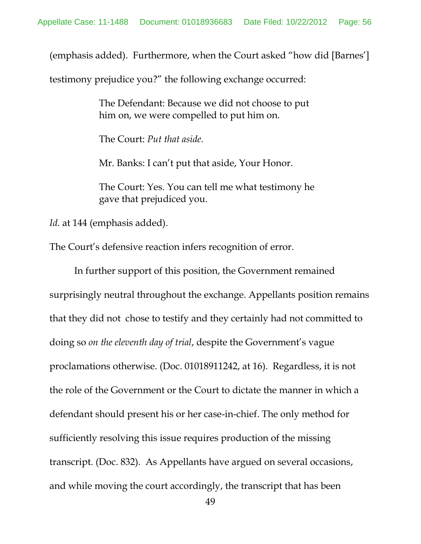(emphasis added). Furthermore, when the Court asked "how did [Barnes']

testimony prejudice you?" the following exchange occurred:

The Defendant: Because we did not choose to put him on, we were compelled to put him on.

The Court: *Put that aside.*

Mr. Banks: I can't put that aside, Your Honor.

The Court: Yes. You can tell me what testimony he gave that prejudiced you.

*Id.* at 144 (emphasis added).

The Court's defensive reaction infers recognition of error.

In further support of this position, the Government remained surprisingly neutral throughout the exchange. Appellants position remains that they did not chose to testify and they certainly had not committed to doing so *on the eleventh day of trial*, despite the Government's vague proclamations otherwise. (Doc. 01018911242, at 16). Regardless, it is not the role of the Government or the Court to dictate the manner in which a defendant should present his or her case-in-chief. The only method for sufficiently resolving this issue requires production of the missing transcript. (Doc. 832). As Appellants have argued on several occasions, and while moving the court accordingly, the transcript that has been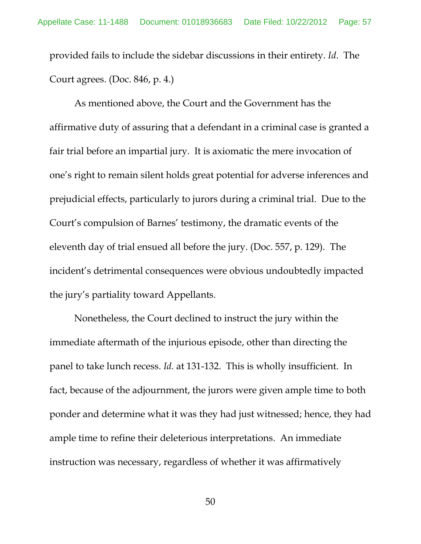provided fails to include the sidebar discussions in their entirety. *Id*. The Court agrees. (Doc. 846, p. 4.)

As mentioned above, the Court and the Government has the affirmative duty of assuring that a defendant in a criminal case is granted a fair trial before an impartial jury. It is axiomatic the mere invocation of one's right to remain silent holds great potential for adverse inferences and prejudicial effects, particularly to jurors during a criminal trial. Due to the Court's compulsion of Barnes' testimony, the dramatic events of the eleventh day of trial ensued all before the jury. (Doc. 557, p. 129). The incident's detrimental consequences were obvious undoubtedly impacted the jury's partiality toward Appellants.

Nonetheless, the Court declined to instruct the jury within the immediate aftermath of the injurious episode, other than directing the panel to take lunch recess. *Id.* at 131-132. This is wholly insufficient. In fact, because of the adjournment, the jurors were given ample time to both ponder and determine what it was they had just witnessed; hence, they had ample time to refine their deleterious interpretations. An immediate instruction was necessary, regardless of whether it was affirmatively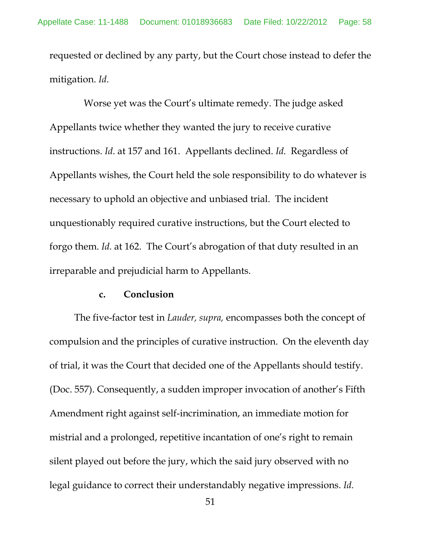requested or declined by any party, but the Court chose instead to defer the mitigation. *Id*.

 Worse yet was the Court's ultimate remedy. The judge asked Appellants twice whether they wanted the jury to receive curative instructions. *Id*. at 157 and 161. Appellants declined. *Id.* Regardless of Appellants wishes, the Court held the sole responsibility to do whatever is necessary to uphold an objective and unbiased trial. The incident unquestionably required curative instructions, but the Court elected to forgo them. *Id.* at 162. The Court's abrogation of that duty resulted in an irreparable and prejudicial harm to Appellants.

#### **c. Conclusion**

The five-factor test in *Lauder, supra,* encompasses both the concept of compulsion and the principles of curative instruction. On the eleventh day of trial, it was the Court that decided one of the Appellants should testify. (Doc. 557). Consequently, a sudden improper invocation of another's Fifth Amendment right against self-incrimination, an immediate motion for mistrial and a prolonged, repetitive incantation of one's right to remain silent played out before the jury, which the said jury observed with no legal guidance to correct their understandably negative impressions. *Id.*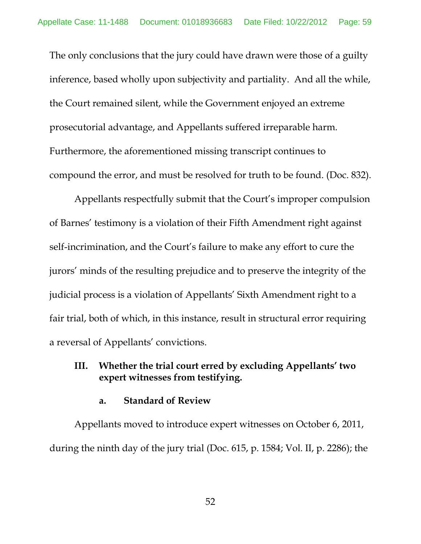The only conclusions that the jury could have drawn were those of a guilty inference, based wholly upon subjectivity and partiality. And all the while, the Court remained silent, while the Government enjoyed an extreme prosecutorial advantage, and Appellants suffered irreparable harm. Furthermore, the aforementioned missing transcript continues to compound the error, and must be resolved for truth to be found. (Doc. 832).

Appellants respectfully submit that the Court's improper compulsion of Barnes' testimony is a violation of their Fifth Amendment right against self-incrimination, and the Court's failure to make any effort to cure the jurors' minds of the resulting prejudice and to preserve the integrity of the judicial process is a violation of Appellants' Sixth Amendment right to a fair trial, both of which, in this instance, result in structural error requiring a reversal of Appellants' convictions.

# **III. Whether the trial court erred by excluding Appellants' two expert witnesses from testifying.**

### **a. Standard of Review**

Appellants moved to introduce expert witnesses on October 6, 2011, during the ninth day of the jury trial (Doc. 615, p. 1584; Vol. II, p. 2286); the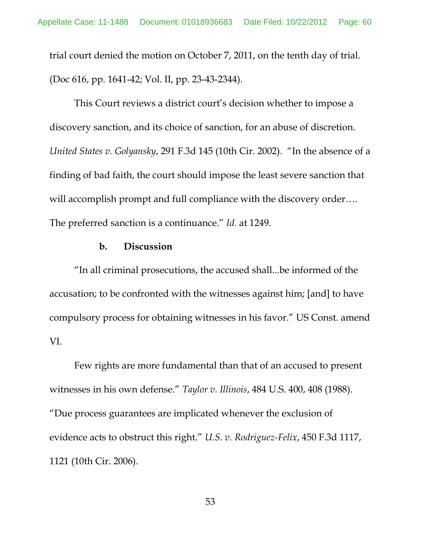trial court denied the motion on October 7, 2011, on the tenth day of trial. (Doc 616, pp. 1641-42; Vol. II, pp. 23-43-2344).

This Court reviews a district court's decision whether to impose a discovery sanction, and its choice of sanction, for an abuse of discretion. *United States v. Golyansky*, 291 F.3d 145 (10th Cir. 2002). "In the absence of a finding of bad faith, the court should impose the least severe sanction that will accomplish prompt and full compliance with the discovery order.... The preferred sanction is a continuance." *Id.* at 1249.

## **b. Discussion**

"In all criminal prosecutions, the accused shall...be informed of the accusation; to be confronted with the witnesses against him; [and] to have compulsory process for obtaining witnesses in his favor." US Const. amend VI.

Few rights are more fundamental than that of an accused to present witnesses in his own defense." *Taylor v. Illinois*, 484 U.S. 400, 408 (1988). "Due process guarantees are implicated whenever the exclusion of evidence acts to obstruct this right." *U.S. v. Rodriguez-Felix*, 450 F.3d 1117, 1121 (10th Cir. 2006).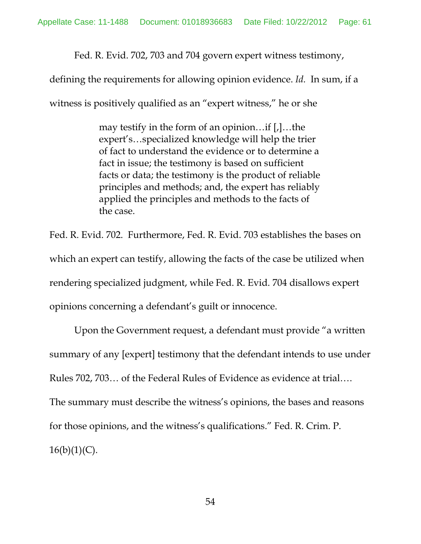Fed. R. Evid. 702, 703 and 704 govern expert witness testimony,

defining the requirements for allowing opinion evidence. *Id.* In sum, if a

witness is positively qualified as an "expert witness," he or she

may testify in the form of an opinion…if [,]…the expert's…specialized knowledge will help the trier of fact to understand the evidence or to determine a fact in issue; the testimony is based on sufficient facts or data; the testimony is the product of reliable principles and methods; and, the expert has reliably applied the principles and methods to the facts of the case.

Fed. R. Evid. 702. Furthermore, Fed. R. Evid. 703 establishes the bases on which an expert can testify, allowing the facts of the case be utilized when rendering specialized judgment, while Fed. R. Evid. 704 disallows expert opinions concerning a defendant's guilt or innocence.

Upon the Government request, a defendant must provide "a written summary of any [expert] testimony that the defendant intends to use under Rules 702, 703… of the Federal Rules of Evidence as evidence at trial…. The summary must describe the witness's opinions, the bases and reasons for those opinions, and the witness's qualifications." Fed. R. Crim. P.  $16(b)(1)(C)$ .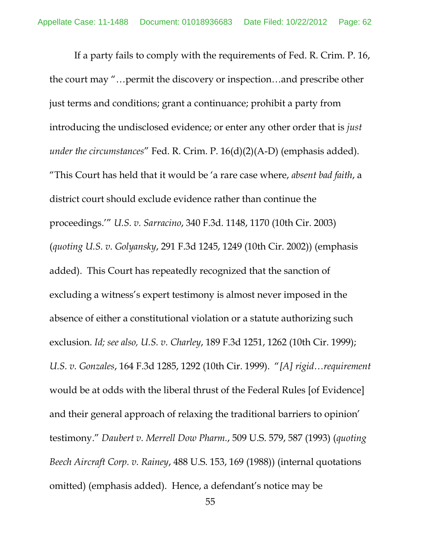If a party fails to comply with the requirements of Fed. R. Crim. P. 16, the court may "…permit the discovery or inspection…and prescribe other just terms and conditions; grant a continuance; prohibit a party from introducing the undisclosed evidence; or enter any other order that is *just under the circumstances*" Fed. R. Crim. P. 16(d)(2)(A-D) (emphasis added). "This Court has held that it would be 'a rare case where, *absent bad faith*, a district court should exclude evidence rather than continue the proceedings.'" *U.S. v. Sarracino*, 340 F.3d. 1148, 1170 (10th Cir. 2003) (*quoting U.S. v. Golyansky*, 291 F.3d 1245, 1249 (10th Cir. 2002)) (emphasis added). This Court has repeatedly recognized that the sanction of excluding a witness's expert testimony is almost never imposed in the absence of either a constitutional violation or a statute authorizing such exclusion. *Id; see also, U.S. v. Charley*, 189 F.3d 1251, 1262 (10th Cir. 1999); *U.S. v. Gonzales*, 164 F.3d 1285, 1292 (10th Cir. 1999). "*[A] rigid…requirement* would be at odds with the liberal thrust of the Federal Rules [of Evidence] and their general approach of relaxing the traditional barriers to opinion' testimony." *Daubert v. Merrell Dow Pharm.*, 509 U.S. 579, 587 (1993) (*quoting Beech Aircraft Corp. v. Rainey*, 488 U.S. 153, 169 (1988)) (internal quotations omitted) (emphasis added). Hence, a defendant's notice may be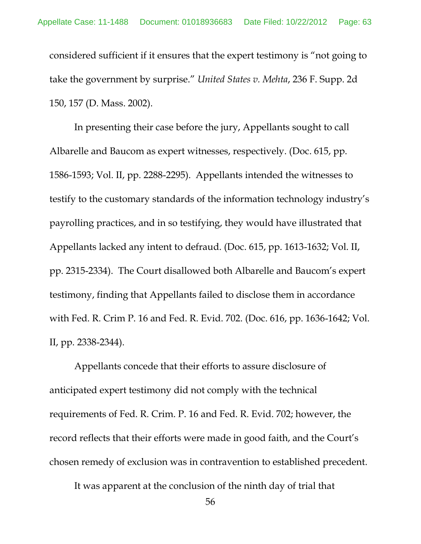considered sufficient if it ensures that the expert testimony is "not going to take the government by surprise." *United States v. Mehta*, 236 F. Supp. 2d 150, 157 (D. Mass. 2002).

In presenting their case before the jury, Appellants sought to call Albarelle and Baucom as expert witnesses, respectively. (Doc. 615, pp. 1586-1593; Vol. II, pp. 2288-2295). Appellants intended the witnesses to testify to the customary standards of the information technology industry's payrolling practices, and in so testifying, they would have illustrated that Appellants lacked any intent to defraud. (Doc. 615, pp. 1613-1632; Vol. II, pp. 2315-2334). The Court disallowed both Albarelle and Baucom's expert testimony, finding that Appellants failed to disclose them in accordance with Fed. R. Crim P. 16 and Fed. R. Evid. 702. (Doc. 616, pp. 1636-1642; Vol. II, pp. 2338-2344).

Appellants concede that their efforts to assure disclosure of anticipated expert testimony did not comply with the technical requirements of Fed. R. Crim. P. 16 and Fed. R. Evid. 702; however, the record reflects that their efforts were made in good faith, and the Court's chosen remedy of exclusion was in contravention to established precedent.

It was apparent at the conclusion of the ninth day of trial that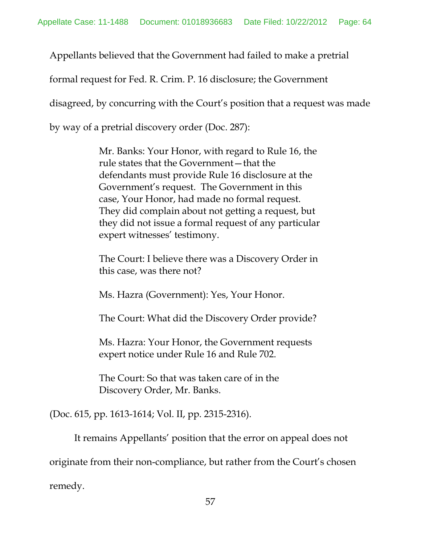Appellants believed that the Government had failed to make a pretrial

formal request for Fed. R. Crim. P. 16 disclosure; the Government

disagreed, by concurring with the Court's position that a request was made

by way of a pretrial discovery order (Doc. 287):

Mr. Banks: Your Honor, with regard to Rule 16, the rule states that the Government—that the defendants must provide Rule 16 disclosure at the Government's request. The Government in this case, Your Honor, had made no formal request. They did complain about not getting a request, but they did not issue a formal request of any particular expert witnesses' testimony.

The Court: I believe there was a Discovery Order in this case, was there not?

Ms. Hazra (Government): Yes, Your Honor.

The Court: What did the Discovery Order provide?

Ms. Hazra: Your Honor, the Government requests expert notice under Rule 16 and Rule 702.

The Court: So that was taken care of in the Discovery Order, Mr. Banks.

(Doc. 615, pp. 1613-1614; Vol. II, pp. 2315-2316).

remedy.

It remains Appellants' position that the error on appeal does not

originate from their non-compliance, but rather from the Court's chosen

57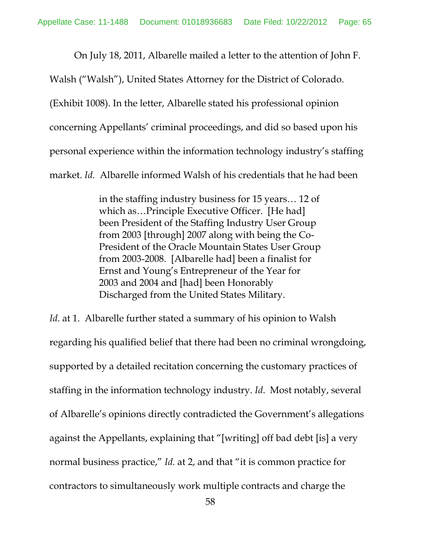On July 18, 2011, Albarelle mailed a letter to the attention of John F.

Walsh ("Walsh"), United States Attorney for the District of Colorado.

(Exhibit 1008). In the letter, Albarelle stated his professional opinion

concerning Appellants' criminal proceedings, and did so based upon his

personal experience within the information technology industry's staffing

market. *Id.* Albarelle informed Walsh of his credentials that he had been

in the staffing industry business for 15 years… 12 of which as…Principle Executive Officer. [He had] been President of the Staffing Industry User Group from 2003 [through] 2007 along with being the Co-President of the Oracle Mountain States User Group from 2003-2008. [Albarelle had] been a finalist for Ernst and Young's Entrepreneur of the Year for 2003 and 2004 and [had] been Honorably Discharged from the United States Military.

*Id.* at 1. Albarelle further stated a summary of his opinion to Walsh regarding his qualified belief that there had been no criminal wrongdoing, supported by a detailed recitation concerning the customary practices of staffing in the information technology industry. *Id*. Most notably, several of Albarelle's opinions directly contradicted the Government's allegations against the Appellants, explaining that "[writing] off bad debt [is] a very normal business practice," *Id.* at 2, and that "it is common practice for contractors to simultaneously work multiple contracts and charge the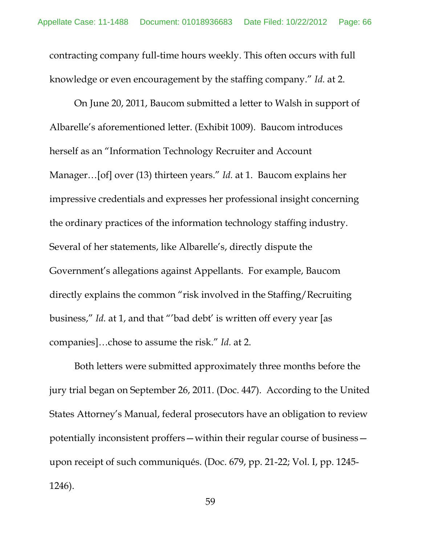contracting company full-time hours weekly. This often occurs with full knowledge or even encouragement by the staffing company." *Id.* at 2.

On June 20, 2011, Baucom submitted a letter to Walsh in support of Albarelle's aforementioned letter. (Exhibit 1009). Baucom introduces herself as an "Information Technology Recruiter and Account Manager…[of] over (13) thirteen years." *Id.* at 1. Baucom explains her impressive credentials and expresses her professional insight concerning the ordinary practices of the information technology staffing industry. Several of her statements, like Albarelle's, directly dispute the Government's allegations against Appellants. For example, Baucom directly explains the common "risk involved in the Staffing/Recruiting business," *Id.* at 1, and that "'bad debt' is written off every year [as companies]…chose to assume the risk." *Id.* at 2.

Both letters were submitted approximately three months before the jury trial began on September 26, 2011. (Doc. 447). According to the United States Attorney's Manual, federal prosecutors have an obligation to review potentially inconsistent proffers—within their regular course of business upon receipt of such communiqués. (Doc. 679, pp. 21-22; Vol. I, pp. 1245- 1246).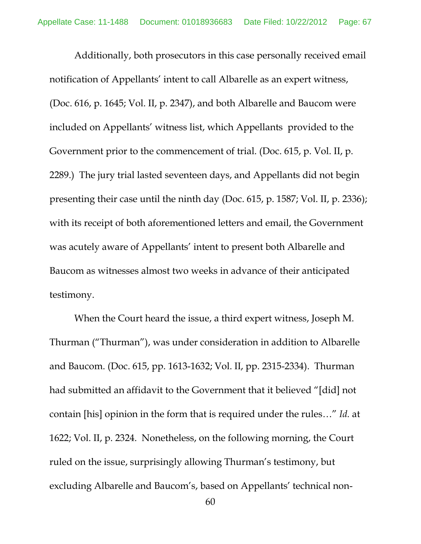Additionally, both prosecutors in this case personally received email notification of Appellants' intent to call Albarelle as an expert witness, (Doc. 616, p. 1645; Vol. II, p. 2347), and both Albarelle and Baucom were included on Appellants' witness list, which Appellants provided to the Government prior to the commencement of trial. (Doc. 615, p. Vol. II, p. 2289.) The jury trial lasted seventeen days, and Appellants did not begin presenting their case until the ninth day (Doc. 615, p. 1587; Vol. II, p. 2336); with its receipt of both aforementioned letters and email, the Government was acutely aware of Appellants' intent to present both Albarelle and Baucom as witnesses almost two weeks in advance of their anticipated testimony.

When the Court heard the issue, a third expert witness, Joseph M. Thurman ("Thurman"), was under consideration in addition to Albarelle and Baucom. (Doc. 615, pp. 1613-1632; Vol. II, pp. 2315-2334). Thurman had submitted an affidavit to the Government that it believed "[did] not contain [his] opinion in the form that is required under the rules…" *Id.* at 1622; Vol. II, p. 2324. Nonetheless, on the following morning, the Court ruled on the issue, surprisingly allowing Thurman's testimony, but excluding Albarelle and Baucom's, based on Appellants' technical non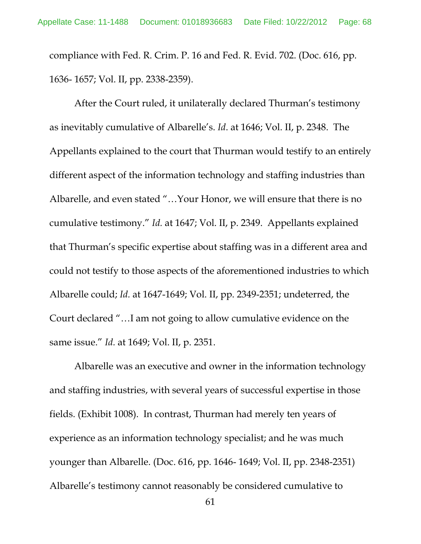compliance with Fed. R. Crim. P. 16 and Fed. R. Evid. 702. (Doc. 616, pp. 1636- 1657; Vol. II, pp. 2338-2359).

After the Court ruled, it unilaterally declared Thurman's testimony as inevitably cumulative of Albarelle's. *Id*. at 1646; Vol. II, p. 2348. The Appellants explained to the court that Thurman would testify to an entirely different aspect of the information technology and staffing industries than Albarelle, and even stated "…Your Honor, we will ensure that there is no cumulative testimony." *Id.* at 1647; Vol. II, p. 2349. Appellants explained that Thurman's specific expertise about staffing was in a different area and could not testify to those aspects of the aforementioned industries to which Albarelle could; *Id.* at 1647-1649; Vol. II, pp. 2349-2351; undeterred, the Court declared "…I am not going to allow cumulative evidence on the same issue." *Id.* at 1649; Vol. II, p. 2351.

Albarelle was an executive and owner in the information technology and staffing industries, with several years of successful expertise in those fields. (Exhibit 1008). In contrast, Thurman had merely ten years of experience as an information technology specialist; and he was much younger than Albarelle. (Doc. 616, pp. 1646- 1649; Vol. II, pp. 2348-2351) Albarelle's testimony cannot reasonably be considered cumulative to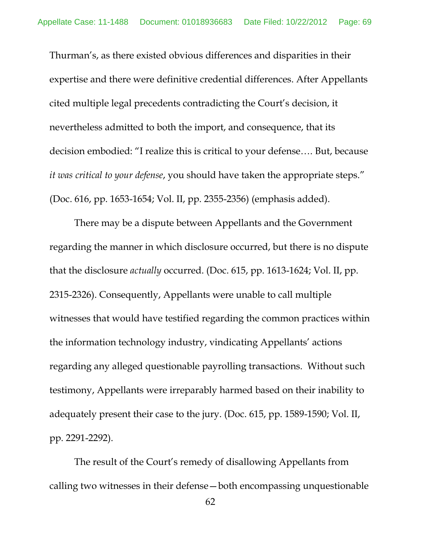Thurman's, as there existed obvious differences and disparities in their expertise and there were definitive credential differences. After Appellants cited multiple legal precedents contradicting the Court's decision, it nevertheless admitted to both the import, and consequence, that its decision embodied: "I realize this is critical to your defense…. But, because *it was critical to your defense*, you should have taken the appropriate steps." (Doc. 616, pp. 1653-1654; Vol. II, pp. 2355-2356) (emphasis added).

There may be a dispute between Appellants and the Government regarding the manner in which disclosure occurred, but there is no dispute that the disclosure *actually* occurred. (Doc. 615, pp. 1613-1624; Vol. II, pp. 2315-2326). Consequently, Appellants were unable to call multiple witnesses that would have testified regarding the common practices within the information technology industry, vindicating Appellants' actions regarding any alleged questionable payrolling transactions. Without such testimony, Appellants were irreparably harmed based on their inability to adequately present their case to the jury. (Doc. 615, pp. 1589-1590; Vol. II, pp. 2291-2292).

The result of the Court's remedy of disallowing Appellants from calling two witnesses in their defense—both encompassing unquestionable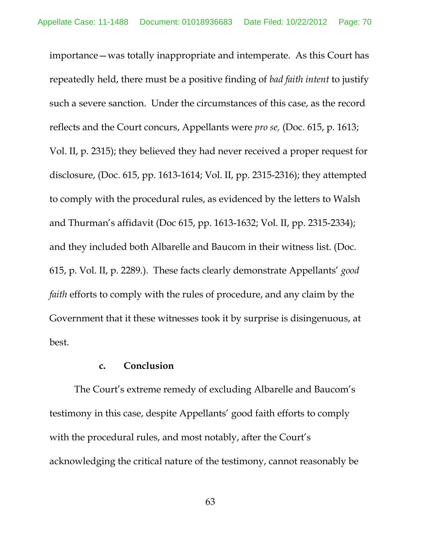importance—was totally inappropriate and intemperate. As this Court has repeatedly held, there must be a positive finding of *bad faith intent* to justify such a severe sanction. Under the circumstances of this case, as the record reflects and the Court concurs, Appellants were *pro se,* (Doc. 615, p. 1613; Vol. II, p. 2315); they believed they had never received a proper request for disclosure, (Doc. 615, pp. 1613-1614; Vol. II, pp. 2315-2316); they attempted to comply with the procedural rules, as evidenced by the letters to Walsh and Thurman's affidavit (Doc 615, pp. 1613-1632; Vol. II, pp. 2315-2334); and they included both Albarelle and Baucom in their witness list. (Doc. 615, p. Vol. II, p. 2289.). These facts clearly demonstrate Appellants' *good faith* efforts to comply with the rules of procedure, and any claim by the Government that it these witnesses took it by surprise is disingenuous, at best.

## **c. Conclusion**

The Court's extreme remedy of excluding Albarelle and Baucom's testimony in this case, despite Appellants' good faith efforts to comply with the procedural rules, and most notably, after the Court's acknowledging the critical nature of the testimony, cannot reasonably be

63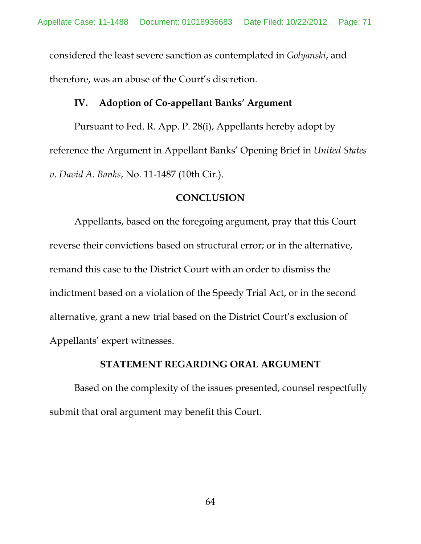considered the least severe sanction as contemplated in *Golyanski*, and therefore, was an abuse of the Court's discretion.

### **IV. Adoption of Co-appellant Banks' Argument**

Pursuant to Fed. R. App. P. 28(i), Appellants hereby adopt by reference the Argument in Appellant Banks' Opening Brief in *United States v. David A. Banks*, No. 11-1487 (10th Cir.).

## **CONCLUSION**

Appellants, based on the foregoing argument, pray that this Court reverse their convictions based on structural error; or in the alternative, remand this case to the District Court with an order to dismiss the indictment based on a violation of the Speedy Trial Act, or in the second alternative, grant a new trial based on the District Court's exclusion of Appellants' expert witnesses.

### **STATEMENT REGARDING ORAL ARGUMENT**

Based on the complexity of the issues presented, counsel respectfully submit that oral argument may benefit this Court.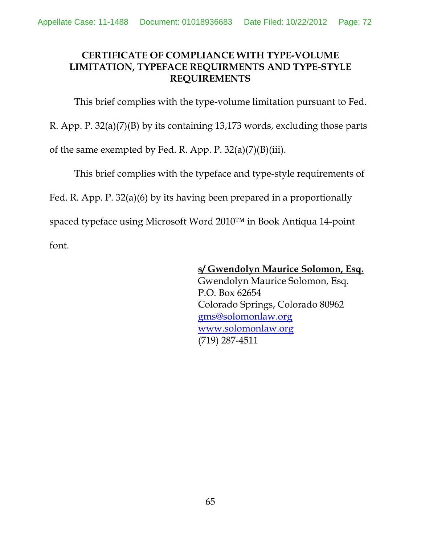# **CERTIFICATE OF COMPLIANCE WITH TYPE-VOLUME LIMITATION, TYPEFACE REQUIRMENTS AND TYPE-STYLE REQUIREMENTS**

This brief complies with the type-volume limitation pursuant to Fed.

R. App. P. 32(a)(7)(B) by its containing 13,173 words, excluding those parts

of the same exempted by Fed. R. App. P. 32(a)(7)(B)(iii).

This brief complies with the typeface and type-style requirements of

Fed. R. App. P. 32(a)(6) by its having been prepared in a proportionally

spaced typeface using Microsoft Word 2010™ in Book Antiqua 14-point font.

**s/ Gwendolyn Maurice Solomon, Esq.**

Gwendolyn Maurice Solomon, Esq. P.O. Box 62654 Colorado Springs, Colorado 80962 [gms@solomonlaw.org](mailto:gms@solomonlaw.org) [www.solomonlaw.org](http://www.solomonlaw.org/) (719) 287-4511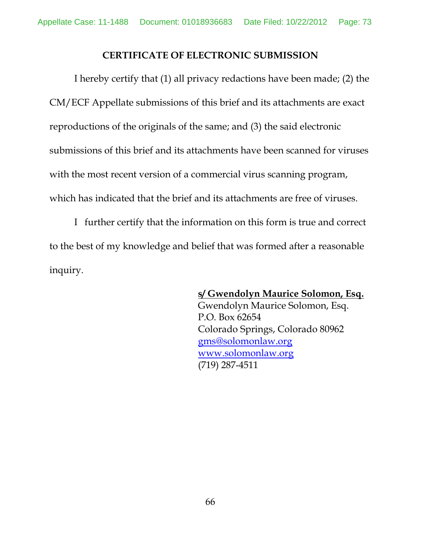## **CERTIFICATE OF ELECTRONIC SUBMISSION**

I hereby certify that (1) all privacy redactions have been made; (2) the CM/ECF Appellate submissions of this brief and its attachments are exact reproductions of the originals of the same; and (3) the said electronic submissions of this brief and its attachments have been scanned for viruses with the most recent version of a commercial virus scanning program, which has indicated that the brief and its attachments are free of viruses.

I further certify that the information on this form is true and correct to the best of my knowledge and belief that was formed after a reasonable inquiry.

## **s/ Gwendolyn Maurice Solomon, Esq.**

Gwendolyn Maurice Solomon, Esq. P.O. Box 62654 Colorado Springs, Colorado 80962 [gms@solomonlaw.org](mailto:gms@solomonlaw.org) [www.solomonlaw.org](http://www.solomonlaw.org/) (719) 287-4511